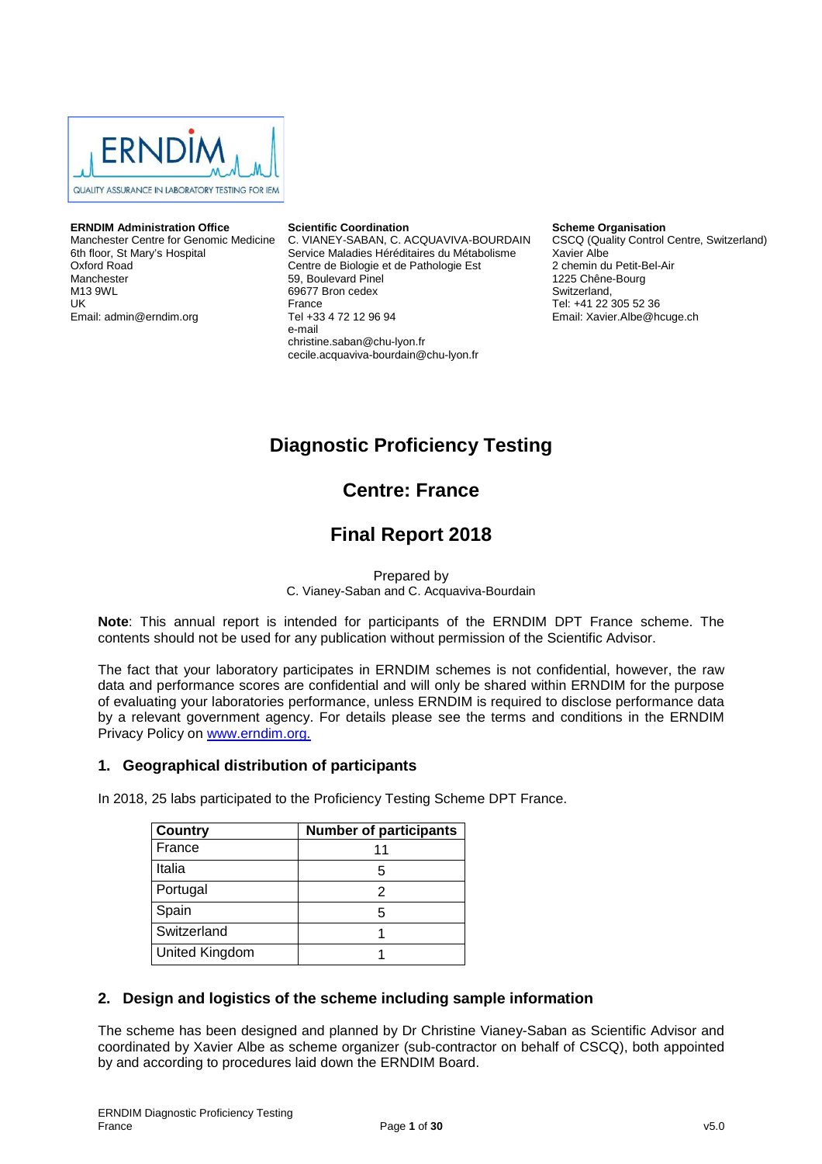

#### **ERNDIM Administration Office**

Manchester Centre for Genomic Medicine 6th floor, St Mary's Hospital Oxford Road Manchester M13 9WL UK Email: admin@erndim.org

#### **Scientific Coordination**

C. VIANEY-SABAN, C. ACQUAVIVA-BOURDAIN Service Maladies Héréditaires du Métabolisme Centre de Biologie et de Pathologie Est 59, Boulevard Pinel 69677 Bron cedex France Tel +33 4 72 12 96 94 e-mail christine.saban@chu-lyon.fr cecile.acquaviva-bourdain@chu-lyon.fr

**Scheme Organisation**

CSCQ (Quality Control Centre, Switzerland) Xavier Albe 2 chemin du Petit-Bel-Air 1225 Chêne-Bourg Switzerland, Tel: +41 22 305 52 36 Email: Xavier.Albe@hcuge.ch

# **Diagnostic Proficiency Testing**

# **Centre: France**

# **Final Report 2018**

Prepared by

C. Vianey-Saban and C. Acquaviva-Bourdain

**Note**: This annual report is intended for participants of the ERNDIM DPT France scheme. The contents should not be used for any publication without permission of the Scientific Advisor.

The fact that your laboratory participates in ERNDIM schemes is not confidential, however, the raw data and performance scores are confidential and will only be shared within ERNDIM for the purpose of evaluating your laboratories performance, unless ERNDIM is required to disclose performance data by a relevant government agency. For details please see the terms and conditions in the ERNDIM Privacy Policy on www.erndim.org.

### **1. Geographical distribution of participants**

In 2018, 25 labs participated to the Proficiency Testing Scheme DPT France.

| <b>Country</b> | <b>Number of participants</b> |
|----------------|-------------------------------|
| France         | 11                            |
| Italia         | 5                             |
| Portugal       | 2                             |
| Spain          | 5                             |
| Switzerland    |                               |
| United Kingdom |                               |

### **2. Design and logistics of the scheme including sample information**

The scheme has been designed and planned by Dr Christine Vianey-Saban as Scientific Advisor and coordinated by Xavier Albe as scheme organizer (sub-contractor on behalf of CSCQ), both appointed by and according to procedures laid down the ERNDIM Board.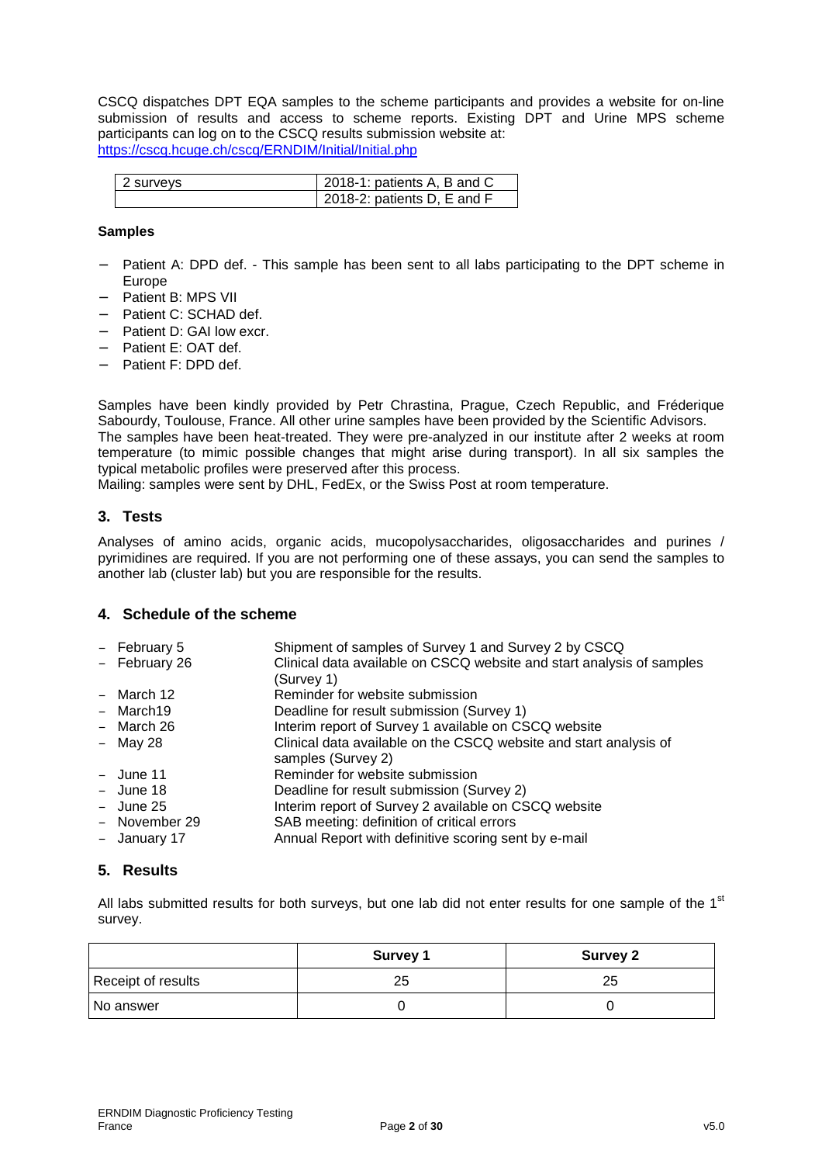CSCQ dispatches DPT EQA samples to the scheme participants and provides a website for on-line submission of results and access to scheme reports. Existing DPT and Urine MPS scheme participants can log on to the CSCQ results submission website at: https://cscq.hcuge.ch/cscq/ERNDIM/Initial/Initial.php

| l 2 survevs | 2018-1: patients A, B and C |
|-------------|-----------------------------|
|             | 2018-2: patients D, E and F |

#### **Samples**

- Patient A: DPD def. This sample has been sent to all labs participating to the DPT scheme in Europe
- − Patient B: MPS VII
- − Patient C: SCHAD def.
- − Patient D: GAI low excr.
- − Patient E: OAT def.
- − Patient F: DPD def.

Samples have been kindly provided by Petr Chrastina, Prague, Czech Republic, and Fréderique Sabourdy, Toulouse, France. All other urine samples have been provided by the Scientific Advisors. The samples have been heat-treated. They were pre-analyzed in our institute after 2 weeks at room temperature (to mimic possible changes that might arise during transport). In all six samples the typical metabolic profiles were preserved after this process.

Mailing: samples were sent by DHL, FedEx, or the Swiss Post at room temperature.

### **3. Tests**

Analyses of amino acids, organic acids, mucopolysaccharides, oligosaccharides and purines / pyrimidines are required. If you are not performing one of these assays, you can send the samples to another lab (cluster lab) but you are responsible for the results.

### **4. Schedule of the scheme**

| $-$ February 5 | Shipment of samples of Survey 1 and Survey 2 by CSCQ                  |
|----------------|-----------------------------------------------------------------------|
| - February 26  | Clinical data available on CSCQ website and start analysis of samples |
|                | (Survey 1)                                                            |
| $-$ March 12   | Reminder for website submission                                       |
| - March19      | Deadline for result submission (Survey 1)                             |
| - March 26     | Interim report of Survey 1 available on CSCQ website                  |
| $-$ May 28     | Clinical data available on the CSCQ website and start analysis of     |
|                | samples (Survey 2)                                                    |
| $-$ June 11    | Reminder for website submission                                       |
| $-$ June 18    | Deadline for result submission (Survey 2)                             |
| $-$ June 25    | Interim report of Survey 2 available on CSCQ website                  |
| - November 29  | SAB meeting: definition of critical errors                            |
| - January 17   | Annual Report with definitive scoring sent by e-mail                  |
|                |                                                                       |

# **5. Results**

All labs submitted results for both surveys, but one lab did not enter results for one sample of the  $1<sup>st</sup>$ survey.

|                    | <b>Survey 1</b> | <b>Survey 2</b> |
|--------------------|-----------------|-----------------|
| Receipt of results | 25              | 25              |
| No answer          |                 |                 |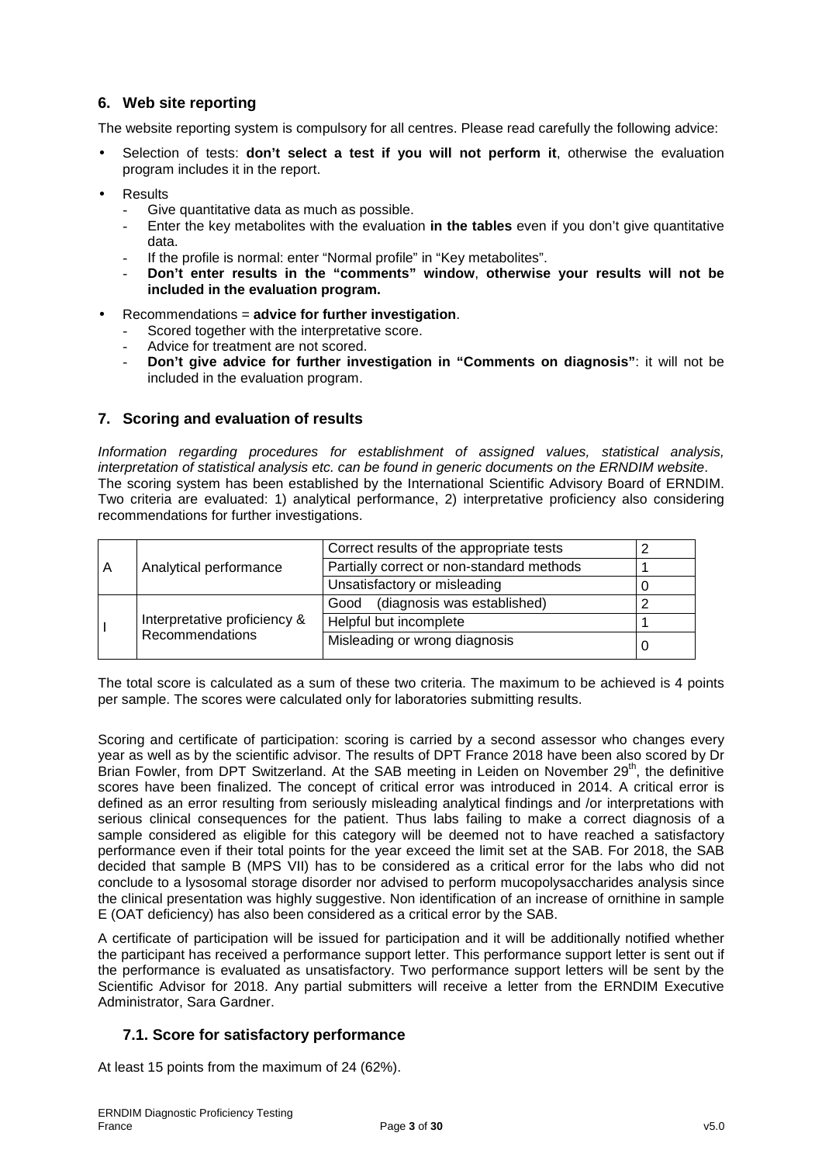# **6. Web site reporting**

The website reporting system is compulsory for all centres. Please read carefully the following advice:

- Selection of tests: **don't select a test if you will not perform it**, otherwise the evaluation program includes it in the report.
- **Results** 
	- Give quantitative data as much as possible.
	- Enter the key metabolites with the evaluation **in the tables** even if you don't give quantitative data.
	- If the profile is normal: enter "Normal profile" in "Key metabolites".
	- **Don't enter results in the "comments" window**, **otherwise your results will not be included in the evaluation program.**
- Recommendations = **advice for further investigation**.
	- Scored together with the interpretative score.
	- Advice for treatment are not scored.
	- **Don't give advice for further investigation in "Comments on diagnosis"**: it will not be included in the evaluation program.

### **7. Scoring and evaluation of results**

Information regarding procedures for establishment of assigned values, statistical analysis, interpretation of statistical analysis etc. can be found in generic documents on the ERNDIM website. The scoring system has been established by the International Scientific Advisory Board of ERNDIM. Two criteria are evaluated: 1) analytical performance, 2) interpretative proficiency also considering recommendations for further investigations.

| A | Analytical performance                          | Correct results of the appropriate tests  |  |
|---|-------------------------------------------------|-------------------------------------------|--|
|   |                                                 | Partially correct or non-standard methods |  |
|   |                                                 | Unsatisfactory or misleading              |  |
|   | Interpretative proficiency &<br>Recommendations | Good (diagnosis was established)          |  |
|   |                                                 | Helpful but incomplete                    |  |
|   |                                                 | Misleading or wrong diagnosis             |  |

The total score is calculated as a sum of these two criteria. The maximum to be achieved is 4 points per sample. The scores were calculated only for laboratories submitting results.

Scoring and certificate of participation: scoring is carried by a second assessor who changes every year as well as by the scientific advisor. The results of DPT France 2018 have been also scored by Dr Brian Fowler, from DPT Switzerland. At the SAB meeting in Leiden on November  $29<sup>th</sup>$ , the definitive scores have been finalized. The concept of critical error was introduced in 2014. A critical error is defined as an error resulting from seriously misleading analytical findings and /or interpretations with serious clinical consequences for the patient. Thus labs failing to make a correct diagnosis of a sample considered as eligible for this category will be deemed not to have reached a satisfactory performance even if their total points for the year exceed the limit set at the SAB. For 2018, the SAB decided that sample B (MPS VII) has to be considered as a critical error for the labs who did not conclude to a lysosomal storage disorder nor advised to perform mucopolysaccharides analysis since the clinical presentation was highly suggestive. Non identification of an increase of ornithine in sample E (OAT deficiency) has also been considered as a critical error by the SAB.

A certificate of participation will be issued for participation and it will be additionally notified whether the participant has received a performance support letter. This performance support letter is sent out if the performance is evaluated as unsatisfactory. Two performance support letters will be sent by the Scientific Advisor for 2018. Any partial submitters will receive a letter from the ERNDIM Executive Administrator, Sara Gardner.

# **7.1. Score for satisfactory performance**

At least 15 points from the maximum of 24 (62%).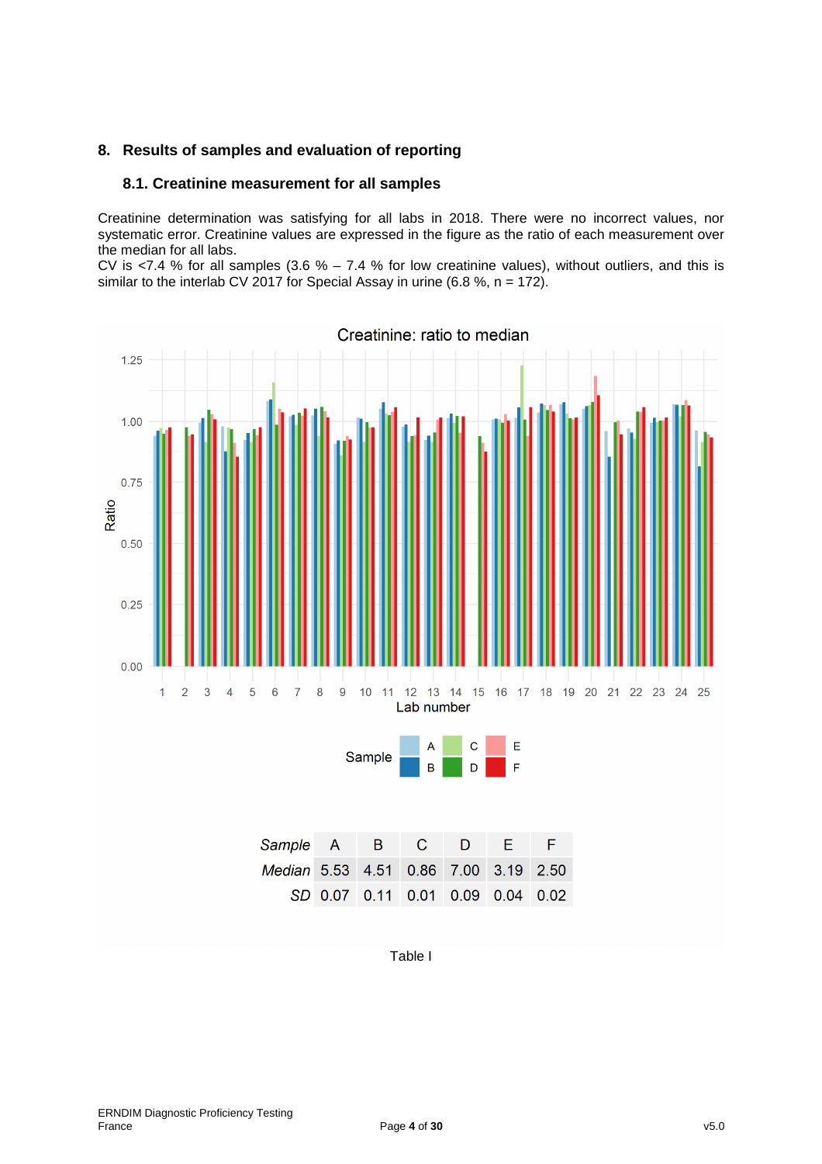# **8. Results of samples and evaluation of reporting**

### **8.1. Creatinine measurement for all samples**

Creatinine determination was satisfying for all labs in 2018. There were no incorrect values, nor systematic error. Creatinine values are expressed in the figure as the ratio of each measurement over the median for all labs.

CV is <7.4 % for all samples (3.6 % – 7.4 % for low creatinine values), without outliers, and this is similar to the interlab CV 2017 for Special Assay in urine (6.8 %,  $n = 172$ ).



| Sample A B C D E F                   |  |  |                                  |  |
|--------------------------------------|--|--|----------------------------------|--|
| Median 5.53 4.51 0.86 7.00 3.19 2.50 |  |  |                                  |  |
|                                      |  |  | SD 0.07 0.11 0.01 0.09 0.04 0.02 |  |

Table I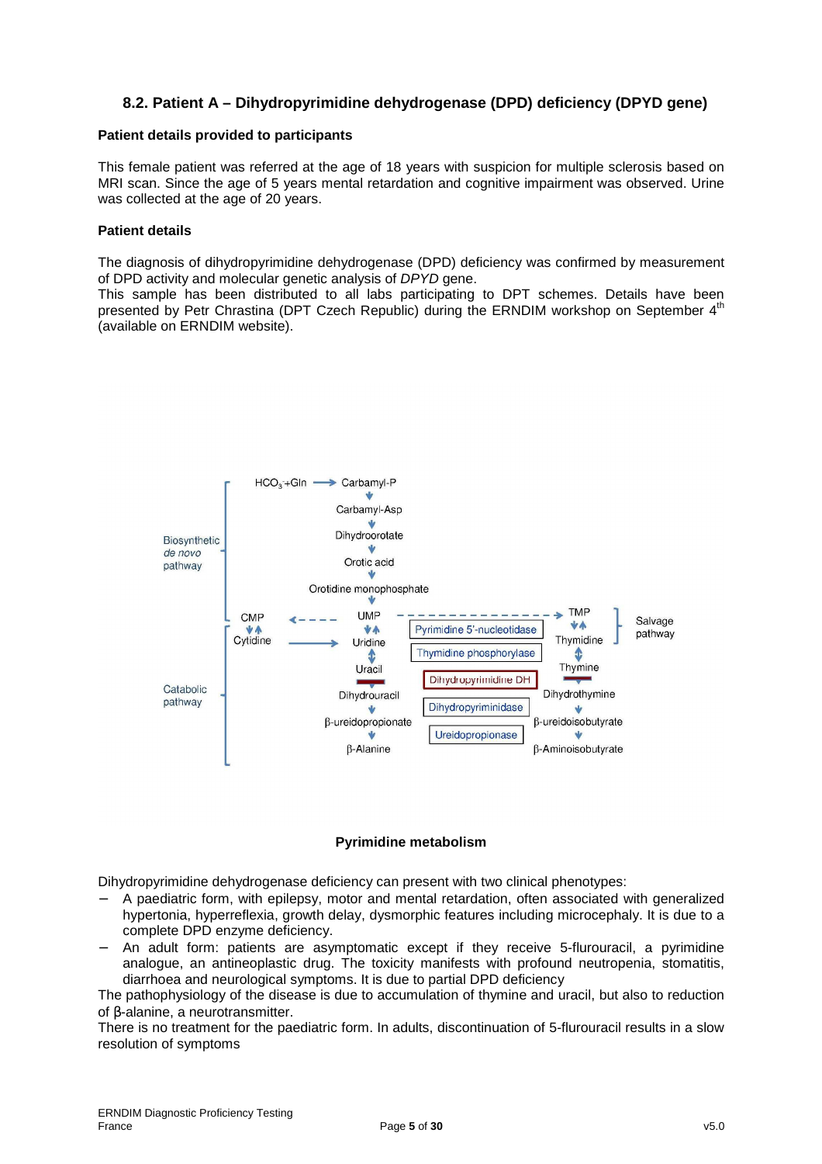# **8.2. Patient A – Dihydropyrimidine dehydrogenase (DPD) deficiency (DPYD gene)**

### **Patient details provided to participants**

This female patient was referred at the age of 18 years with suspicion for multiple sclerosis based on MRI scan. Since the age of 5 years mental retardation and cognitive impairment was observed. Urine was collected at the age of 20 years.

#### **Patient details**

The diagnosis of dihydropyrimidine dehydrogenase (DPD) deficiency was confirmed by measurement of DPD activity and molecular genetic analysis of DPYD gene.

This sample has been distributed to all labs participating to DPT schemes. Details have been presented by Petr Chrastina (DPT Czech Republic) during the ERNDIM workshop on September 4<sup>th</sup> (available on ERNDIM website).



#### **Pyrimidine metabolism**

Dihydropyrimidine dehydrogenase deficiency can present with two clinical phenotypes:

- − A paediatric form, with epilepsy, motor and mental retardation, often associated with generalized hypertonia, hyperreflexia, growth delay, dysmorphic features including microcephaly. It is due to a complete DPD enzyme deficiency.
- An adult form: patients are asymptomatic except if they receive 5-flurouracil, a pyrimidine analogue, an antineoplastic drug. The toxicity manifests with profound neutropenia, stomatitis, diarrhoea and neurological symptoms. It is due to partial DPD deficiency

The pathophysiology of the disease is due to accumulation of thymine and uracil, but also to reduction of β-alanine, a neurotransmitter.

There is no treatment for the paediatric form. In adults, discontinuation of 5-flurouracil results in a slow resolution of symptoms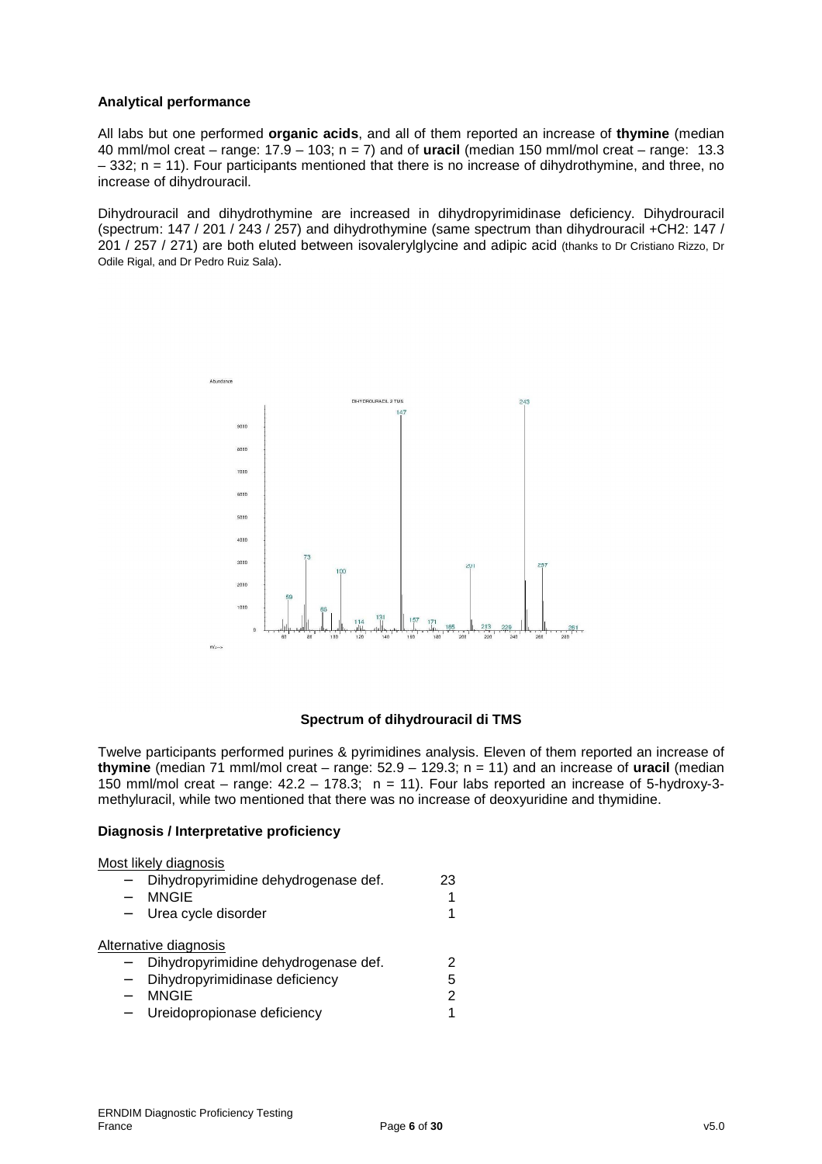### **Analytical performance**

All labs but one performed **organic acids**, and all of them reported an increase of **thymine** (median 40 mml/mol creat – range: 17.9 – 103; n = 7) and of **uracil** (median 150 mml/mol creat – range: 13.3 – 332; n = 11). Four participants mentioned that there is no increase of dihydrothymine, and three, no increase of dihydrouracil.

Dihydrouracil and dihydrothymine are increased in dihydropyrimidinase deficiency. Dihydrouracil (spectrum: 147 / 201 / 243 / 257) and dihydrothymine (same spectrum than dihydrouracil +CH2: 147 / 201 / 257 / 271) are both eluted between isovalerylglycine and adipic acid (thanks to Dr Cristiano Rizzo, Dr Odile Rigal, and Dr Pedro Ruiz Sala).



### **Spectrum of dihydrouracil di TMS**

Twelve participants performed purines & pyrimidines analysis. Eleven of them reported an increase of **thymine** (median 71 mml/mol creat – range: 52.9 – 129.3; n = 11) and an increase of **uracil** (median 150 mml/mol creat – range:  $42.2 - 178.3$ ; n = 11). Four labs reported an increase of 5-hydroxy-3methyluracil, while two mentioned that there was no increase of deoxyuridine and thymidine.

#### **Diagnosis / Interpretative proficiency**

| Most likely diagnosis                |    |
|--------------------------------------|----|
| Dihydropyrimidine dehydrogenase def. | 23 |
| <b>MNGIE</b>                         | 1  |
| Urea cycle disorder                  | 1  |
|                                      |    |
| Alternative diagnosis                |    |
| Dihydropyrimidine dehydrogenase def. | 2  |
| Dihydropyrimidinase deficiency       | 5  |
| <b>MNGIE</b>                         | 2  |
| Ureidopropionase deficiency          |    |
|                                      |    |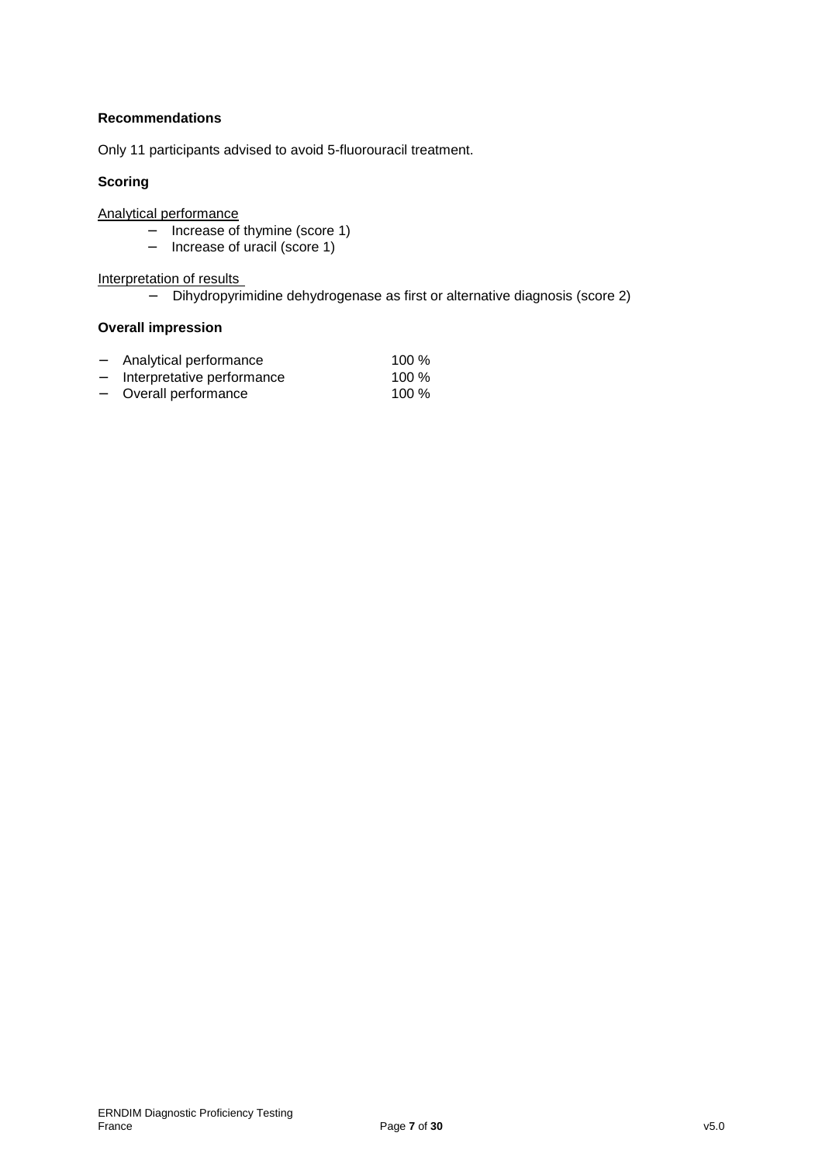# **Recommendations**

Only 11 participants advised to avoid 5-fluorouracil treatment.

### **Scoring**

Analytical performance

- − Increase of thymine (score 1)
- − Increase of uracil (score 1)

Interpretation of results

− Dihydropyrimidine dehydrogenase as first or alternative diagnosis (score 2)

### **Overall impression**

| $-$                      | Analytical performance     | $100\%$ |
|--------------------------|----------------------------|---------|
| $\overline{\phantom{0}}$ | Interpretative performance | $100\%$ |
| $\overline{\phantom{a}}$ | Overall performance        | 100 $%$ |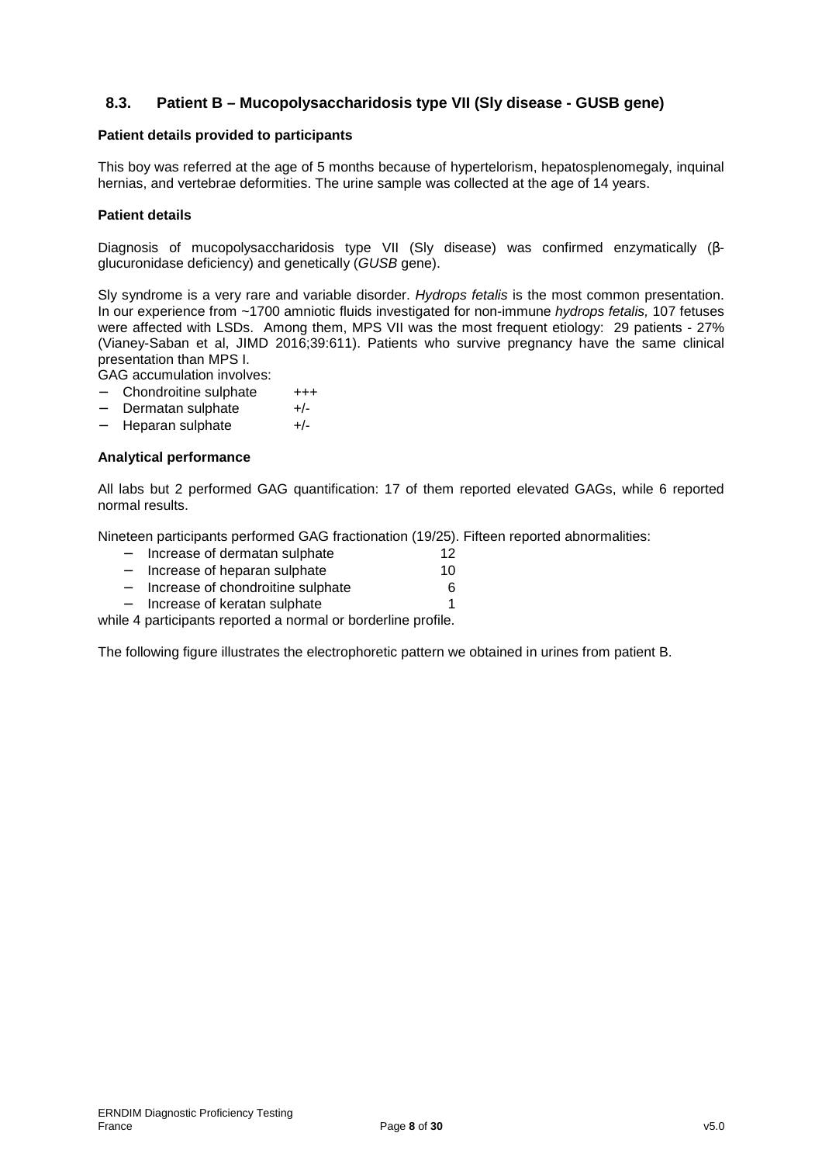# **8.3. Patient B – Mucopolysaccharidosis type VII (Sly disease - GUSB gene)**

#### **Patient details provided to participants**

This boy was referred at the age of 5 months because of hypertelorism, hepatosplenomegaly, inquinal hernias, and vertebrae deformities. The urine sample was collected at the age of 14 years.

#### **Patient details**

Diagnosis of mucopolysaccharidosis type VII (Sly disease) was confirmed enzymatically (βglucuronidase deficiency) and genetically (GUSB gene).

Sly syndrome is a very rare and variable disorder. Hydrops fetalis is the most common presentation. In our experience from ~1700 amniotic fluids investigated for non-immune hydrops fetalis, 107 fetuses were affected with LSDs. Among them, MPS VII was the most frequent etiology: 29 patients - 27% (Vianey-Saban et al, JIMD 2016;39:611). Patients who survive pregnancy have the same clinical presentation than MPS I.

GAG accumulation involves:

- − Chondroitine sulphate +++
- − Dermatan sulphate +/-
- − Heparan sulphate +/-

#### **Analytical performance**

All labs but 2 performed GAG quantification: 17 of them reported elevated GAGs, while 6 reported normal results.

Nineteen participants performed GAG fractionation (19/25). Fifteen reported abnormalities:

|                          | Increase of dermatan sulphate      | 12 |
|--------------------------|------------------------------------|----|
| $\overline{\phantom{0}}$ | Increase of heparan sulphate       | 10 |
|                          | lassassa af akanalusiting aulakata |    |

- − Increase of chondroitine sulphate 6
- − Increase of keratan sulphate 1

while 4 participants reported a normal or borderline profile.

The following figure illustrates the electrophoretic pattern we obtained in urines from patient B.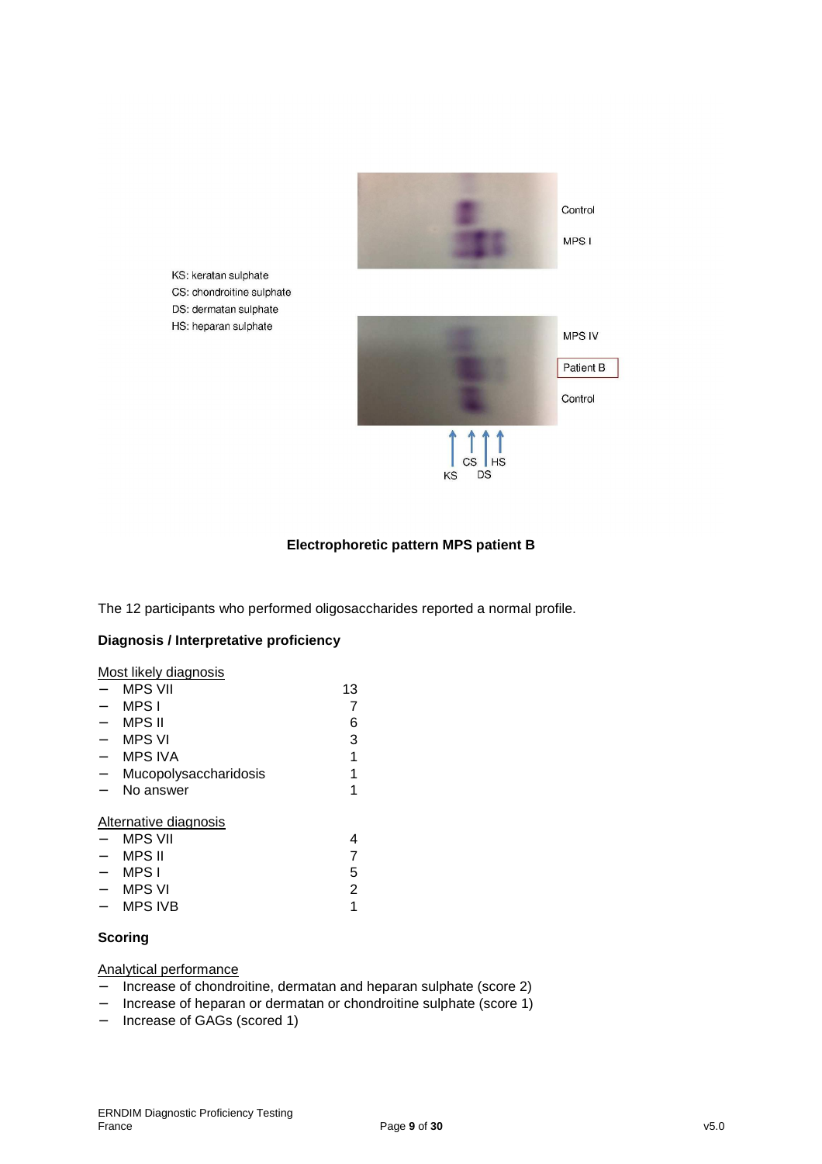

# **Electrophoretic pattern MPS patient B**

The 12 participants who performed oligosaccharides reported a normal profile.

### **Diagnosis / Interpretative proficiency**

KS: keratan sulphate

DS: dermatan sulphate HS: heparan sulphate

Most likely diagnosis

| <b>MPS VII</b>        | 13 |
|-----------------------|----|
| MPS I                 |    |
| MPS II                | 6  |
| <b>MPS VI</b>         | 3  |
| <b>MPS IVA</b>        |    |
| Mucopolysaccharidosis |    |
| No answer             |    |
|                       |    |
| Alternative diagnosis |    |
| <b>MPS VII</b>        |    |
| <b>MPS II</b>         |    |
| MPS I                 | 5  |
| <b>MPS VI</b>         | 2  |
| <b>MPS IVB</b>        |    |
|                       |    |

### **Scoring**

#### Analytical performance

- − Increase of chondroitine, dermatan and heparan sulphate (score 2)
- − Increase of heparan or dermatan or chondroitine sulphate (score 1)
- − Increase of GAGs (scored 1)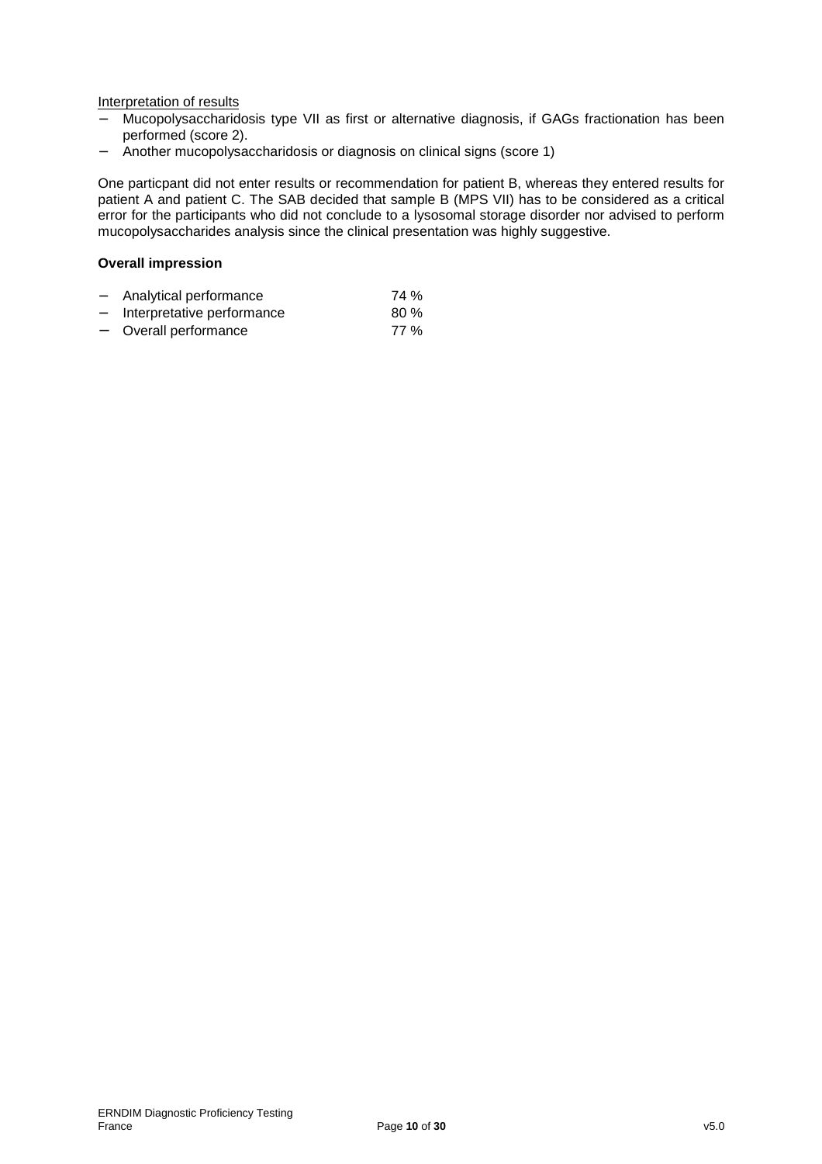Interpretation of results

- − Mucopolysaccharidosis type VII as first or alternative diagnosis, if GAGs fractionation has been performed (score 2).
- − Another mucopolysaccharidosis or diagnosis on clinical signs (score 1)

One particpant did not enter results or recommendation for patient B, whereas they entered results for patient A and patient C. The SAB decided that sample B (MPS VII) has to be considered as a critical error for the participants who did not conclude to a lysosomal storage disorder nor advised to perform mucopolysaccharides analysis since the clinical presentation was highly suggestive.

#### **Overall impression**

| -                        | Analytical performance     | 74 % |
|--------------------------|----------------------------|------|
| $\overline{\phantom{0}}$ | Interpretative performance | 80%  |
| $\overline{\phantom{0}}$ | Overall performance        | 77 % |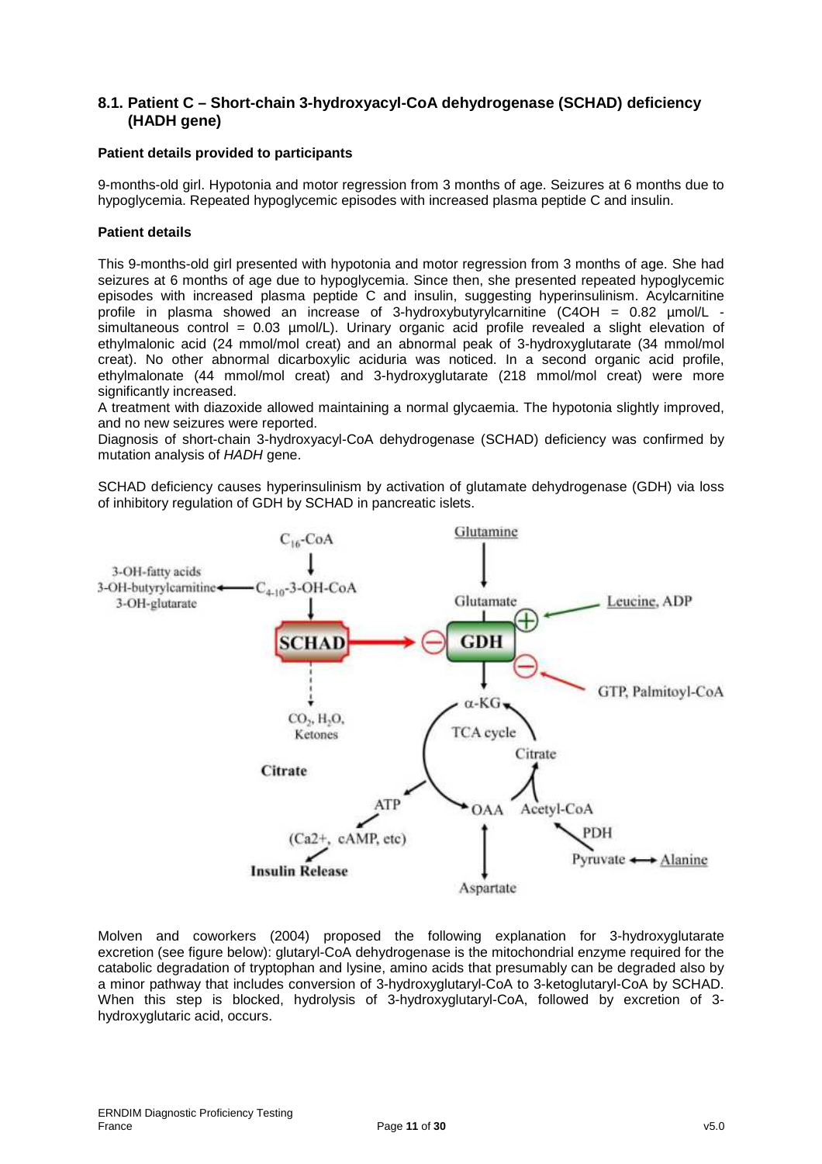# **8.1. Patient C – Short-chain 3-hydroxyacyl-CoA dehydrogenase (SCHAD) deficiency (HADH gene)**

### **Patient details provided to participants**

9-months-old girl. Hypotonia and motor regression from 3 months of age. Seizures at 6 months due to hypoglycemia. Repeated hypoglycemic episodes with increased plasma peptide C and insulin.

### **Patient details**

This 9-months-old girl presented with hypotonia and motor regression from 3 months of age. She had seizures at 6 months of age due to hypoglycemia. Since then, she presented repeated hypoglycemic episodes with increased plasma peptide C and insulin, suggesting hyperinsulinism. Acylcarnitine profile in plasma showed an increase of 3-hydroxybutyrylcarnitine  $COH = 0.82 \mu mol/L$  simultaneous control = 0.03 µmol/L). Urinary organic acid profile revealed a slight elevation of ethylmalonic acid (24 mmol/mol creat) and an abnormal peak of 3-hydroxyglutarate (34 mmol/mol creat). No other abnormal dicarboxylic aciduria was noticed. In a second organic acid profile, ethylmalonate (44 mmol/mol creat) and 3-hydroxyglutarate (218 mmol/mol creat) were more significantly increased.

A treatment with diazoxide allowed maintaining a normal glycaemia. The hypotonia slightly improved, and no new seizures were reported.

Diagnosis of short-chain 3-hydroxyacyl-CoA dehydrogenase (SCHAD) deficiency was confirmed by mutation analysis of HADH gene.

SCHAD deficiency causes hyperinsulinism by activation of glutamate dehydrogenase (GDH) via loss of inhibitory regulation of GDH by SCHAD in pancreatic islets.



Molven and coworkers (2004) proposed the following explanation for 3-hydroxyglutarate excretion (see figure below): glutaryl-CoA dehydrogenase is the mitochondrial enzyme required for the catabolic degradation of tryptophan and lysine, amino acids that presumably can be degraded also by a minor pathway that includes conversion of 3-hydroxyglutaryl-CoA to 3-ketoglutaryl-CoA by SCHAD. When this step is blocked, hydrolysis of 3-hydroxyglutaryl-CoA, followed by excretion of 3 hydroxyglutaric acid, occurs.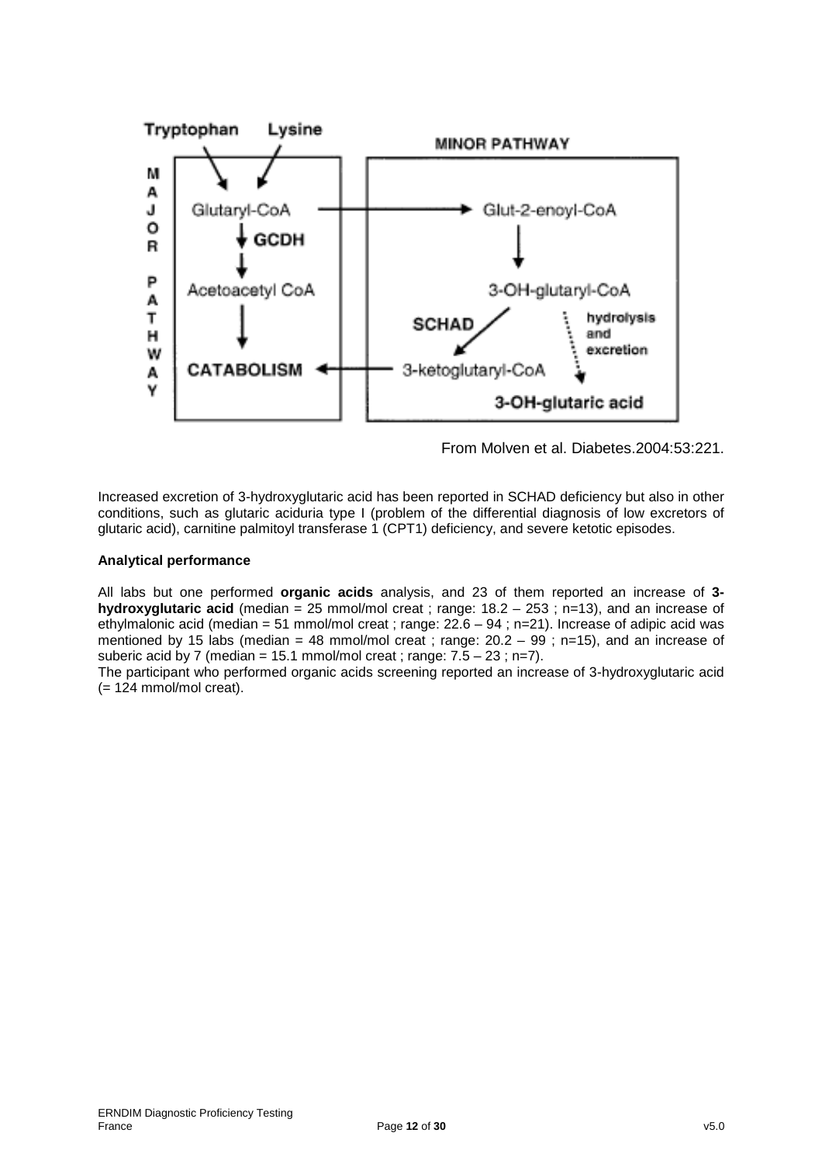

From Molven et al. Diabetes.2004:53:221.

Increased excretion of 3-hydroxyglutaric acid has been reported in SCHAD deficiency but also in other conditions, such as glutaric aciduria type I (problem of the differential diagnosis of low excretors of glutaric acid), carnitine palmitoyl transferase 1 (CPT1) deficiency, and severe ketotic episodes.

### **Analytical performance**

All labs but one performed **organic acids** analysis, and 23 of them reported an increase of **3 hydroxyglutaric acid** (median = 25 mmol/mol creat ; range: 18.2 – 253 ; n=13), and an increase of ethylmalonic acid (median = 51 mmol/mol creat ; range:  $22.6 - 94$  ; n=21). Increase of adipic acid was mentioned by 15 labs (median = 48 mmol/mol creat ; range:  $20.2 - 99$  ; n=15), and an increase of suberic acid by 7 (median = 15.1 mmol/mol creat ; range:  $7.5 - 23$ ; n=7).

The participant who performed organic acids screening reported an increase of 3-hydroxyglutaric acid  $(= 124$  mmol/mol creat).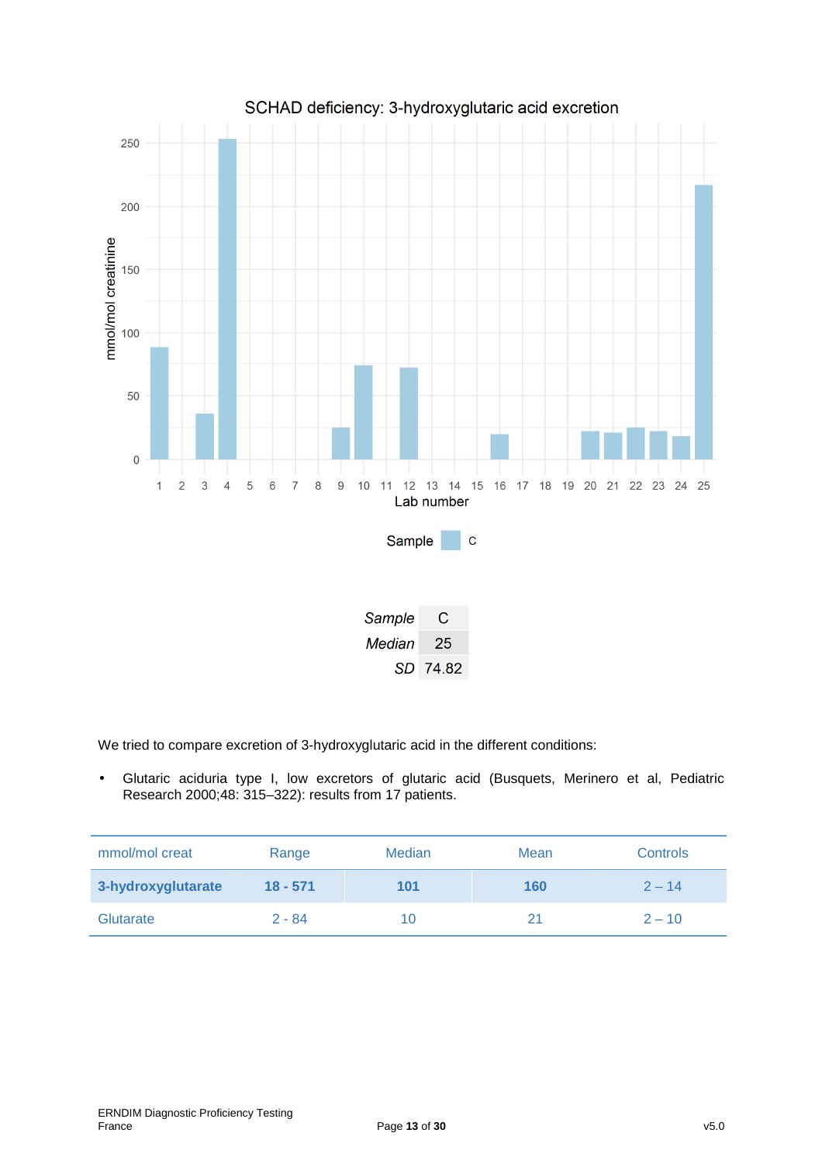

We tried to compare excretion of 3-hydroxyglutaric acid in the different conditions:

• Glutaric aciduria type I, low excretors of glutaric acid (Busquets, Merinero et al, Pediatric Research 2000;48: 315–322): results from 17 patients.

| mmol/mol creat     | Range      | <b>Median</b> | Mean | <b>Controls</b> |
|--------------------|------------|---------------|------|-----------------|
| 3-hydroxyglutarate | $18 - 571$ | 101           | 160  | $2 - 14$        |
| Glutarate          | $2 - 84$   | 10            | 21   | $2 - 10$        |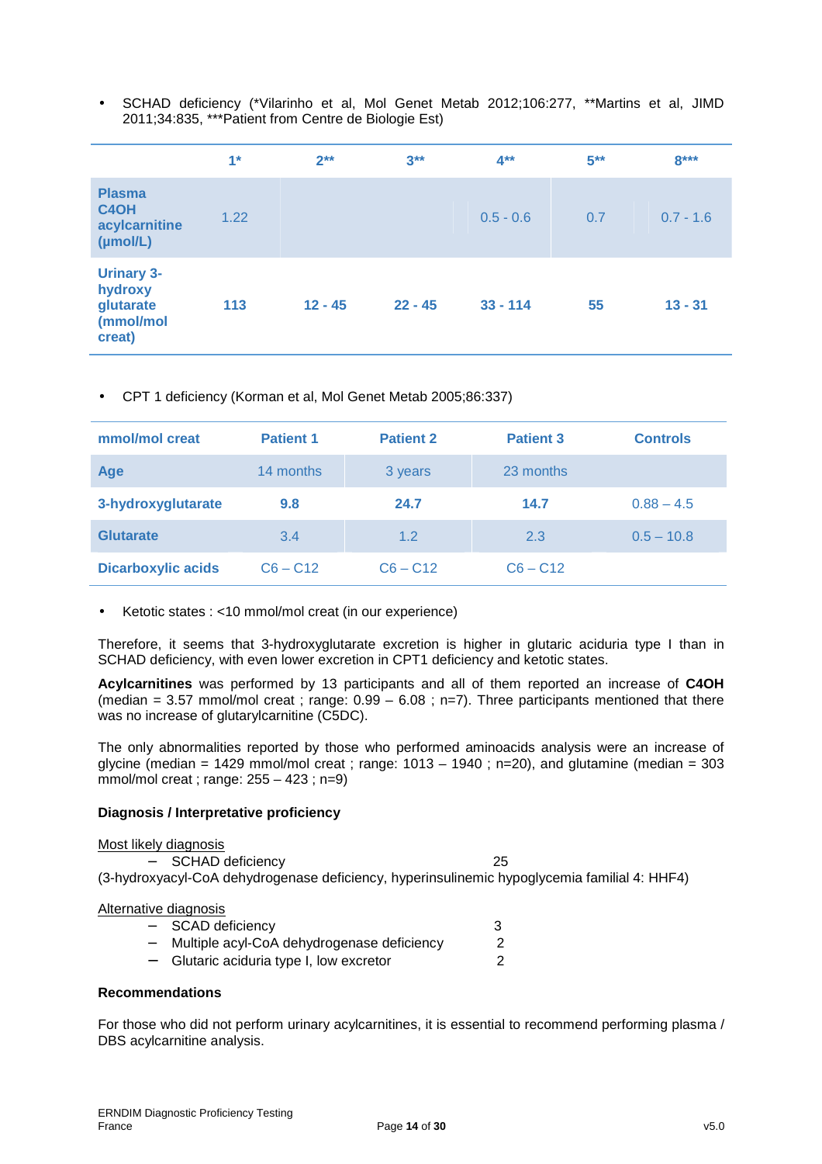• SCHAD deficiency (\*Vilarinho et al, Mol Genet Metab 2012;106:277, \*\*Martins et al, JIMD 2011;34:835, \*\*\*Patient from Centre de Biologie Est)

|                                                                  | $1*$ | $2**$     | $3**$     | $4**$       | $5***$ | $8***$      |
|------------------------------------------------------------------|------|-----------|-----------|-------------|--------|-------------|
| <b>Plasma</b><br>C <sub>4</sub> OH<br>acylcarnitine<br>(mol/L)   | 1.22 |           |           | $0.5 - 0.6$ | 0.7    | $0.7 - 1.6$ |
| <b>Urinary 3-</b><br>hydroxy<br>glutarate<br>(mmol/mol<br>creat) | 113  | $12 - 45$ | $22 - 45$ | $33 - 114$  | 55     | $13 - 31$   |

• CPT 1 deficiency (Korman et al, Mol Genet Metab 2005;86:337)

| mmol/mol creat            | <b>Patient 1</b> | <b>Patient 2</b> | <b>Patient 3</b> | <b>Controls</b> |
|---------------------------|------------------|------------------|------------------|-----------------|
| <b>Age</b>                | 14 months        | 3 years          | 23 months        |                 |
| 3-hydroxyglutarate        | 9.8              | 24.7             | 14.7             | $0.88 - 4.5$    |
| <b>Glutarate</b>          | 3.4              | 1.2              | 2.3              | $0.5 - 10.8$    |
| <b>Dicarboxylic acids</b> | $C6 - C12$       | $C6 - C12$       | $C6 - C12$       |                 |

• Ketotic states : <10 mmol/mol creat (in our experience)

Therefore, it seems that 3-hydroxyglutarate excretion is higher in glutaric aciduria type I than in SCHAD deficiency, with even lower excretion in CPT1 deficiency and ketotic states.

**Acylcarnitines** was performed by 13 participants and all of them reported an increase of **C4OH**  (median = 3.57 mmol/mol creat ; range:  $0.99 - 6.08$  ; n=7). Three participants mentioned that there was no increase of glutarylcarnitine (C5DC).

The only abnormalities reported by those who performed aminoacids analysis were an increase of glycine (median = 1429 mmol/mol creat ; range:  $1013 - 1940$  ; n=20), and glutamine (median = 303 mmol/mol creat ; range: 255 – 423 ; n=9)

#### **Diagnosis / Interpretative proficiency**

| Most likely diagnosis   |  |
|-------------------------|--|
| <b>SCHAD deficiency</b> |  |

(3-hydroxyacyl-CoA dehydrogenase deficiency, hyperinsulinemic hypoglycemia familial 4: HHF4)

#### Alternative diagnosis

| $\overline{\phantom{0}}$ | <b>SCAD deficiency</b>                     |  |
|--------------------------|--------------------------------------------|--|
| Ξ.                       | Multiple acyl-CoA dehydrogenase deficiency |  |
| $\overline{\phantom{0}}$ | Glutaric aciduria type I, low excretor     |  |

#### **Recommendations**

For those who did not perform urinary acylcarnitines, it is essential to recommend performing plasma / DBS acylcarnitine analysis.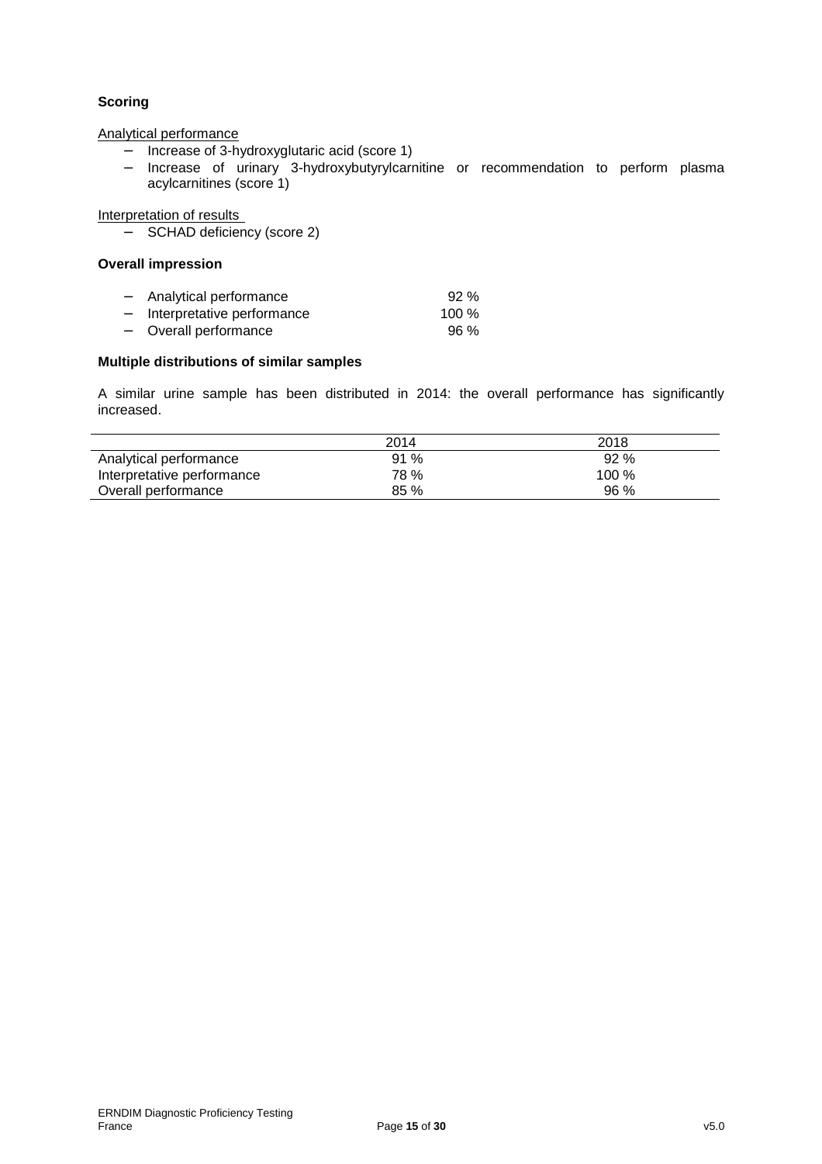# **Scoring**

Analytical performance

- − Increase of 3-hydroxyglutaric acid (score 1)
- − Increase of urinary 3-hydroxybutyrylcarnitine or recommendation to perform plasma acylcarnitines (score 1)

Interpretation of results

− SCHAD deficiency (score 2)

#### **Overall impression**

| $\overline{\phantom{0}}$ | Analytical performance       | 92%     |
|--------------------------|------------------------------|---------|
|                          | - Interpretative performance | 100 $%$ |
|                          | - Overall performance        | $96\%$  |

### **Multiple distributions of similar samples**

A similar urine sample has been distributed in 2014: the overall performance has significantly increased.

|                            | 2014 | 2018  |
|----------------------------|------|-------|
| Analytical performance     | 91 % | 92 %  |
| Interpretative performance | 78 % | 100 % |
| Overall performance        | 85%  | 96 %  |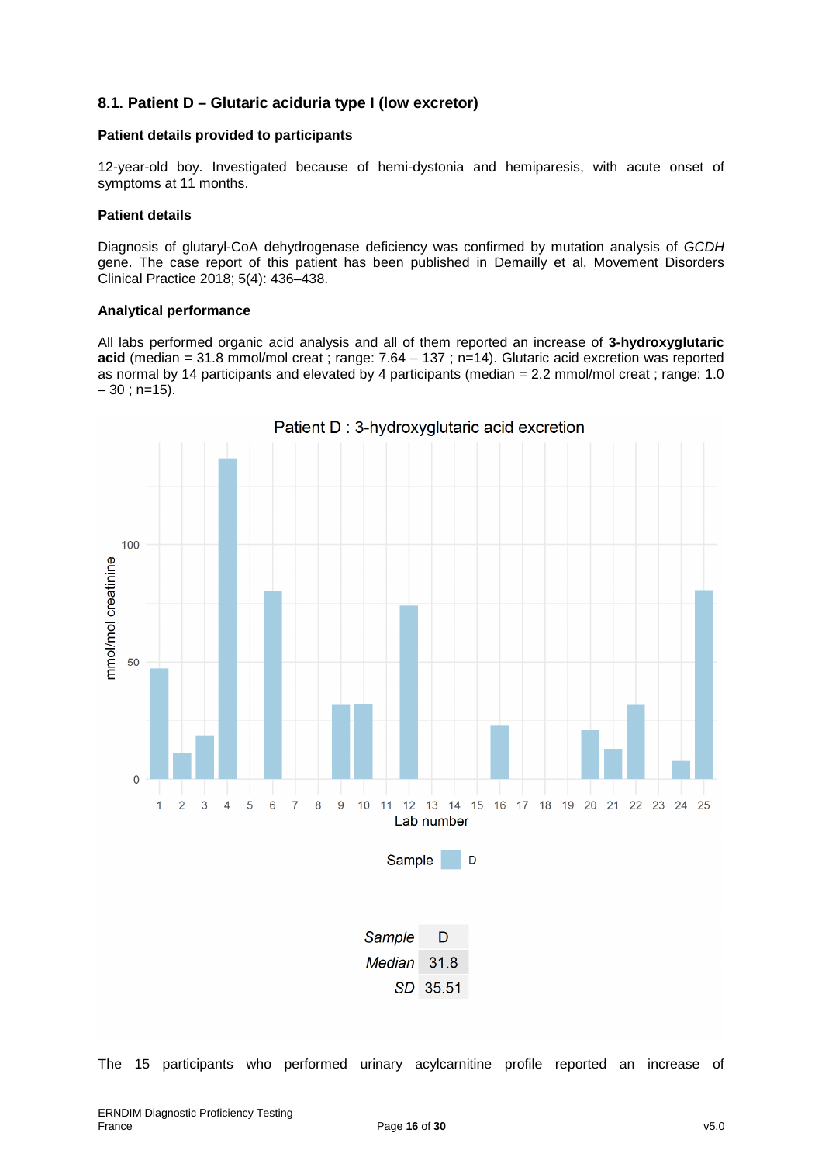# **8.1. Patient D – Glutaric aciduria type I (low excretor)**

### **Patient details provided to participants**

12-year-old boy. Investigated because of hemi-dystonia and hemiparesis, with acute onset of symptoms at 11 months.

#### **Patient details**

Diagnosis of glutaryl-CoA dehydrogenase deficiency was confirmed by mutation analysis of GCDH gene. The case report of this patient has been published in Demailly et al, Movement Disorders Clinical Practice 2018; 5(4): 436–438.

#### **Analytical performance**

All labs performed organic acid analysis and all of them reported an increase of **3-hydroxyglutaric acid** (median = 31.8 mmol/mol creat ; range: 7.64 – 137 ; n=14). Glutaric acid excretion was reported as normal by 14 participants and elevated by 4 participants (median = 2.2 mmol/mol creat ; range: 1.0  $-30$  ; n=15).



Patient D: 3-hydroxyglutaric acid excretion

| Sample             | D        |
|--------------------|----------|
| <i>Median</i> 31.8 |          |
|                    | SD 35.51 |

The 15 participants who performed urinary acylcarnitine profile reported an increase of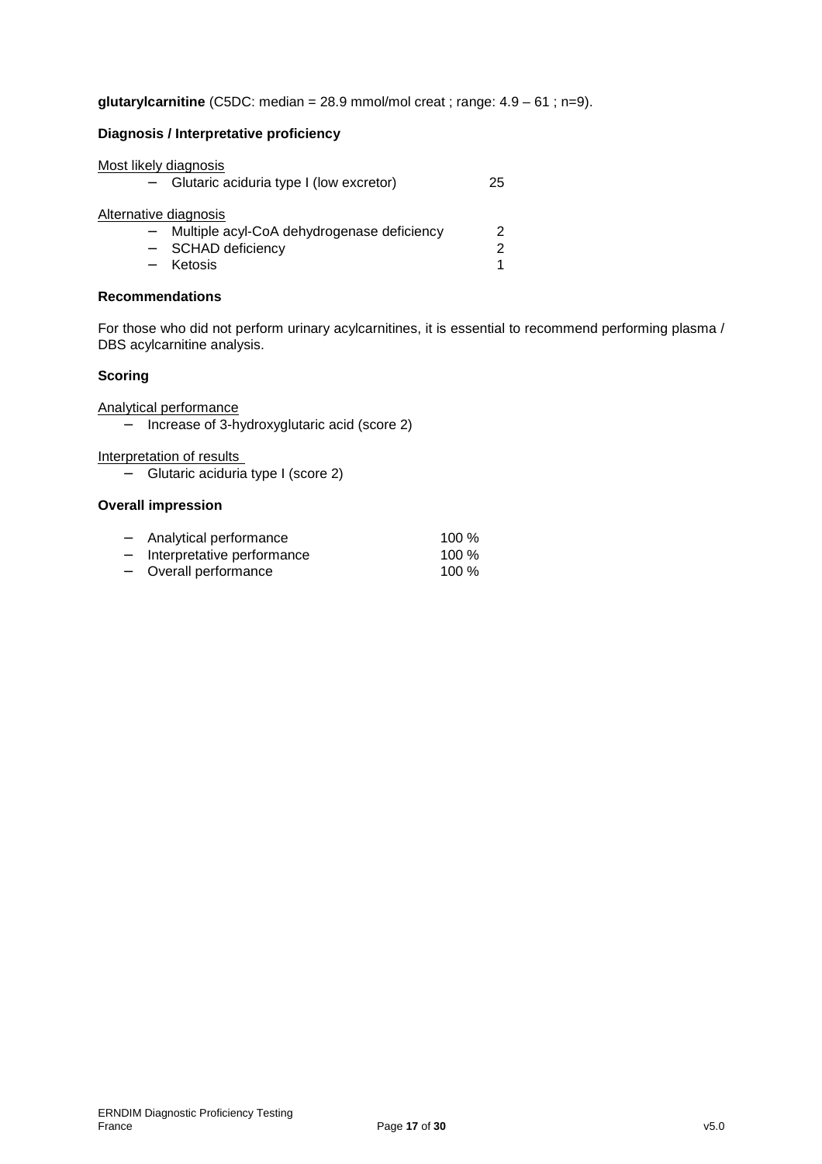**glutarylcarnitine** (C5DC: median =  $28.9$  mmol/mol creat; range:  $4.9 - 61$ ; n=9).

### **Diagnosis / Interpretative proficiency**

| Most likely diagnosis |                                            |    |
|-----------------------|--------------------------------------------|----|
|                       | Glutaric aciduria type I (low excretor)    | 25 |
|                       |                                            |    |
| Alternative diagnosis |                                            |    |
|                       | Multiple acyl-CoA dehydrogenase deficiency | 2  |
|                       | - SCHAD deficiency                         | 2  |
|                       | Ketosis                                    |    |

### **Recommendations**

For those who did not perform urinary acylcarnitines, it is essential to recommend performing plasma / DBS acylcarnitine analysis.

### **Scoring**

Analytical performance

− Increase of 3-hydroxyglutaric acid (score 2)

Interpretation of results

− Glutaric aciduria type I (score 2)

### **Overall impression**

| $-$                      | Analytical performance     | 100 $%$ |
|--------------------------|----------------------------|---------|
| $\overline{\phantom{0}}$ | Interpretative performance | 100 $%$ |
|                          |                            |         |

− Overall performance 100 %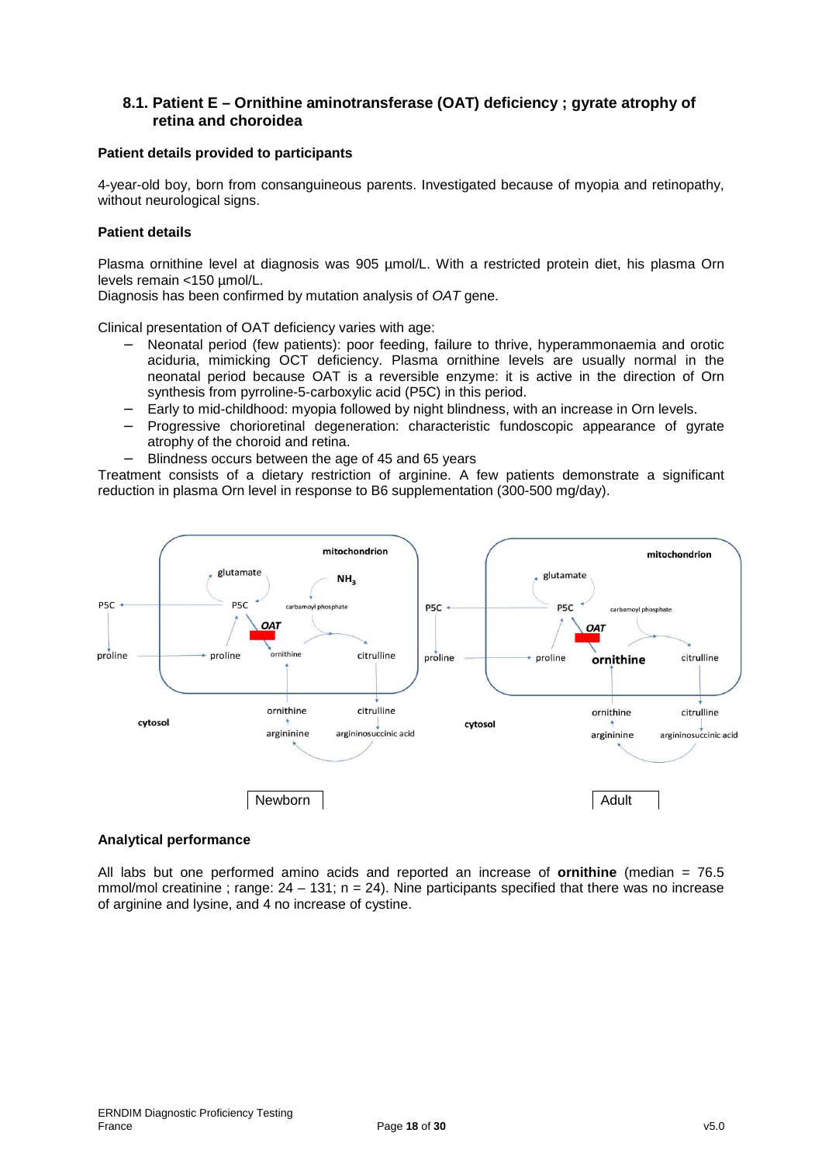# **8.1. Patient E – Ornithine aminotransferase (OAT) deficiency ; gyrate atrophy of retina and choroidea**

#### **Patient details provided to participants**

4-year-old boy, born from consanguineous parents. Investigated because of myopia and retinopathy, without neurological signs.

### **Patient details**

Plasma ornithine level at diagnosis was 905 µmol/L. With a restricted protein diet, his plasma Orn levels remain <150 µmol/L.

Diagnosis has been confirmed by mutation analysis of OAT gene.

Clinical presentation of OAT deficiency varies with age:

- − Neonatal period (few patients): poor feeding, failure to thrive, hyperammonaemia and orotic aciduria, mimicking OCT deficiency. Plasma ornithine levels are usually normal in the neonatal period because OAT is a reversible enzyme: it is active in the direction of Orn synthesis from pyrroline-5-carboxylic acid (P5C) in this period.
- − Early to mid-childhood: myopia followed by night blindness, with an increase in Orn levels.
- − Progressive chorioretinal degeneration: characteristic fundoscopic appearance of gyrate atrophy of the choroid and retina.
- Blindness occurs between the age of 45 and 65 years

Treatment consists of a dietary restriction of arginine. A few patients demonstrate a significant reduction in plasma Orn level in response to B6 supplementation (300-500 mg/day).



#### **Analytical performance**

All labs but one performed amino acids and reported an increase of **ornithine** (median = 76.5 mmol/mol creatinine ; range:  $24 - 131$ ; n = 24). Nine participants specified that there was no increase of arginine and lysine, and 4 no increase of cystine.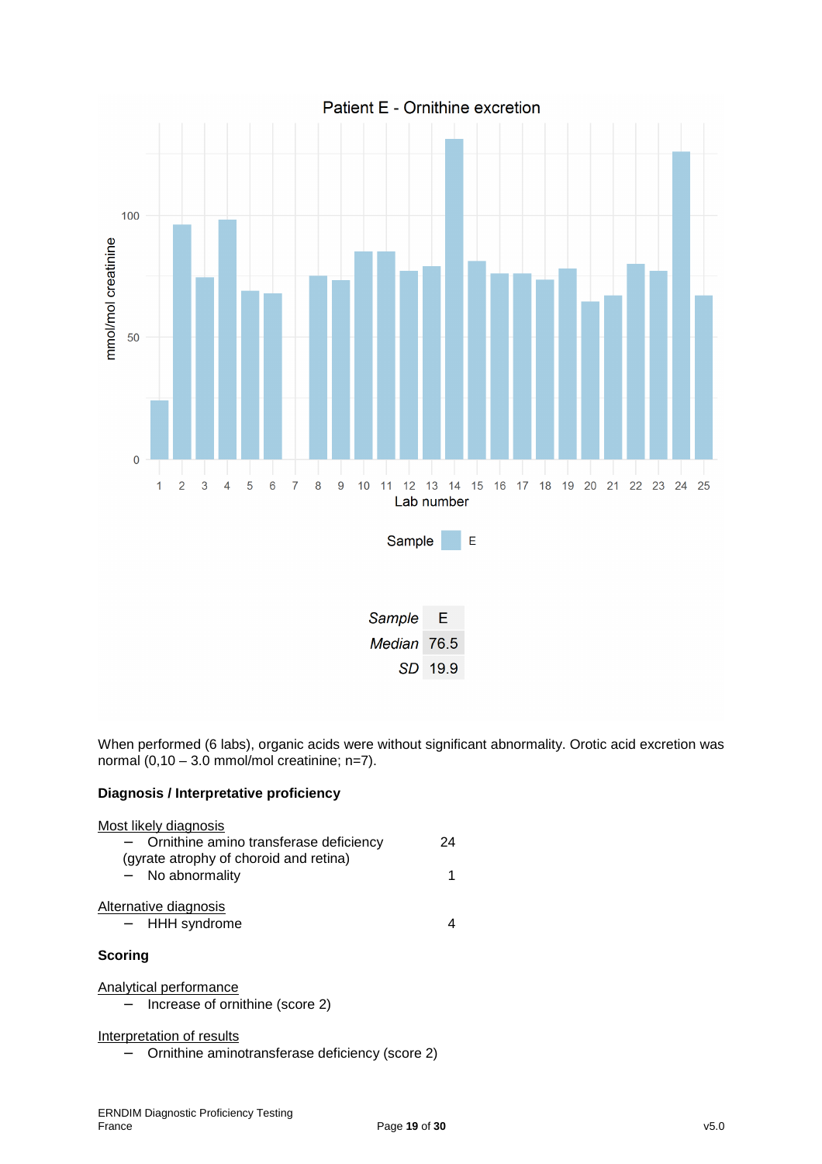

SD 19.9

When performed (6 labs), organic acids were without significant abnormality. Orotic acid excretion was normal  $(0,10 - 3.0 \text{ mmol/mol}$  creatinine; n=7).

### **Diagnosis / Interpretative proficiency**

| Most likely diagnosis<br>Ornithine amino transferase deficiency<br>(gyrate atrophy of choroid and retina)<br>- No abnormality | 24<br>1 |
|-------------------------------------------------------------------------------------------------------------------------------|---------|
| Alternative diagnosis<br>- HHH syndrome                                                                                       |         |
| Scoring                                                                                                                       |         |
| Analytical performance<br>Increase of ornithine (score 2)                                                                     |         |
| Interpretation of results                                                                                                     |         |

− Ornithine aminotransferase deficiency (score 2)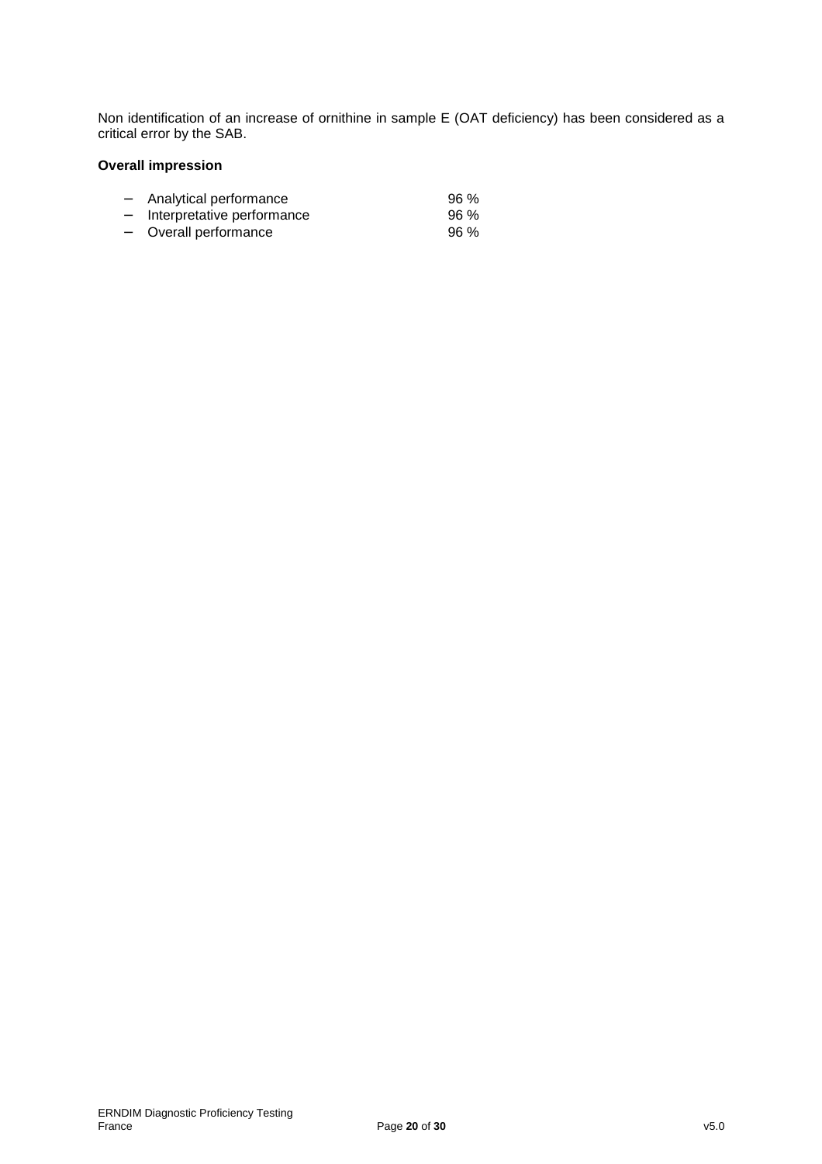Non identification of an increase of ornithine in sample E (OAT deficiency) has been considered as a critical error by the SAB.

## **Overall impression**

| —                        | Analytical performance     | 96 % |
|--------------------------|----------------------------|------|
| —                        | Interpretative performance | 96 % |
| $\overline{\phantom{0}}$ | Overall performance        | 96%  |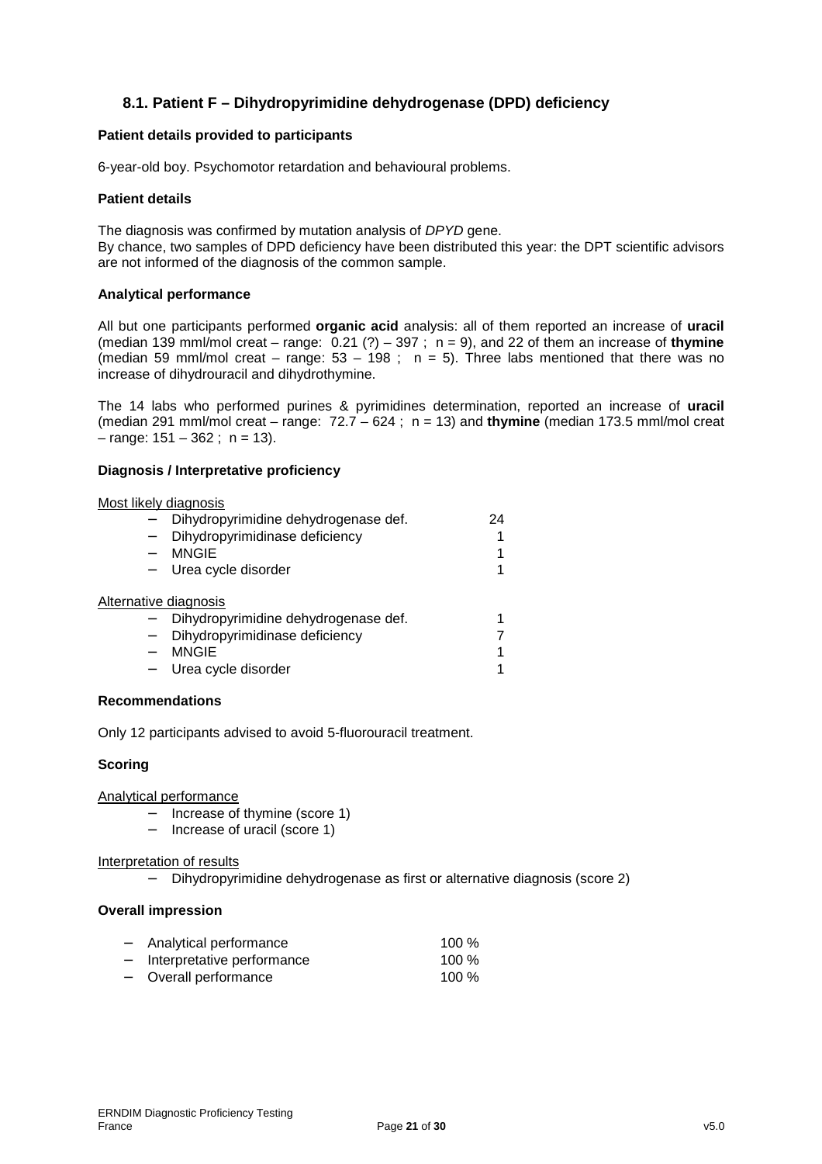# **8.1. Patient F – Dihydropyrimidine dehydrogenase (DPD) deficiency**

#### **Patient details provided to participants**

6-year-old boy. Psychomotor retardation and behavioural problems.

#### **Patient details**

The diagnosis was confirmed by mutation analysis of DPYD gene.

By chance, two samples of DPD deficiency have been distributed this year: the DPT scientific advisors are not informed of the diagnosis of the common sample.

#### **Analytical performance**

All but one participants performed **organic acid** analysis: all of them reported an increase of **uracil** (median 139 mml/mol creat – range:  $0.21$  (?) – 397 ;  $n = 9$ ), and 22 of them an increase of **thymine** (median 59 mml/mol creat – range:  $53 - 198$ ; n = 5). Three labs mentioned that there was no increase of dihydrouracil and dihydrothymine.

The 14 labs who performed purines & pyrimidines determination, reported an increase of **uracil** (median 291 mml/mol creat – range: 72.7 – 624 ; n = 13) and **thymine** (median 173.5 mml/mol creat  $-$  range:  $151 - 362$ ; n = 13).

#### **Diagnosis / Interpretative proficiency**

| Most likely diagnosis |                                      |    |
|-----------------------|--------------------------------------|----|
|                       | Dihydropyrimidine dehydrogenase def. | 24 |
|                       | Dihydropyrimidinase deficiency       |    |
|                       | <b>MNGIE</b>                         | 1  |
|                       | Urea cycle disorder                  |    |
| Alternative diagnosis |                                      |    |
|                       | Dihydropyrimidine dehydrogenase def. | 1  |
|                       | Dihydropyrimidinase deficiency       |    |
|                       | <b>MNGIE</b>                         | 1  |
|                       | Urea cycle disorder                  |    |

#### **Recommendations**

Only 12 participants advised to avoid 5-fluorouracil treatment.

#### **Scoring**

Analytical performance

- − Increase of thymine (score 1)
- − Increase of uracil (score 1)

#### Interpretation of results

− Dihydropyrimidine dehydrogenase as first or alternative diagnosis (score 2)

#### **Overall impression**

| - Analytical performance     | 100 $%$ |
|------------------------------|---------|
| - Interpretative performance | $100\%$ |
| - Overall performance        | 100 $%$ |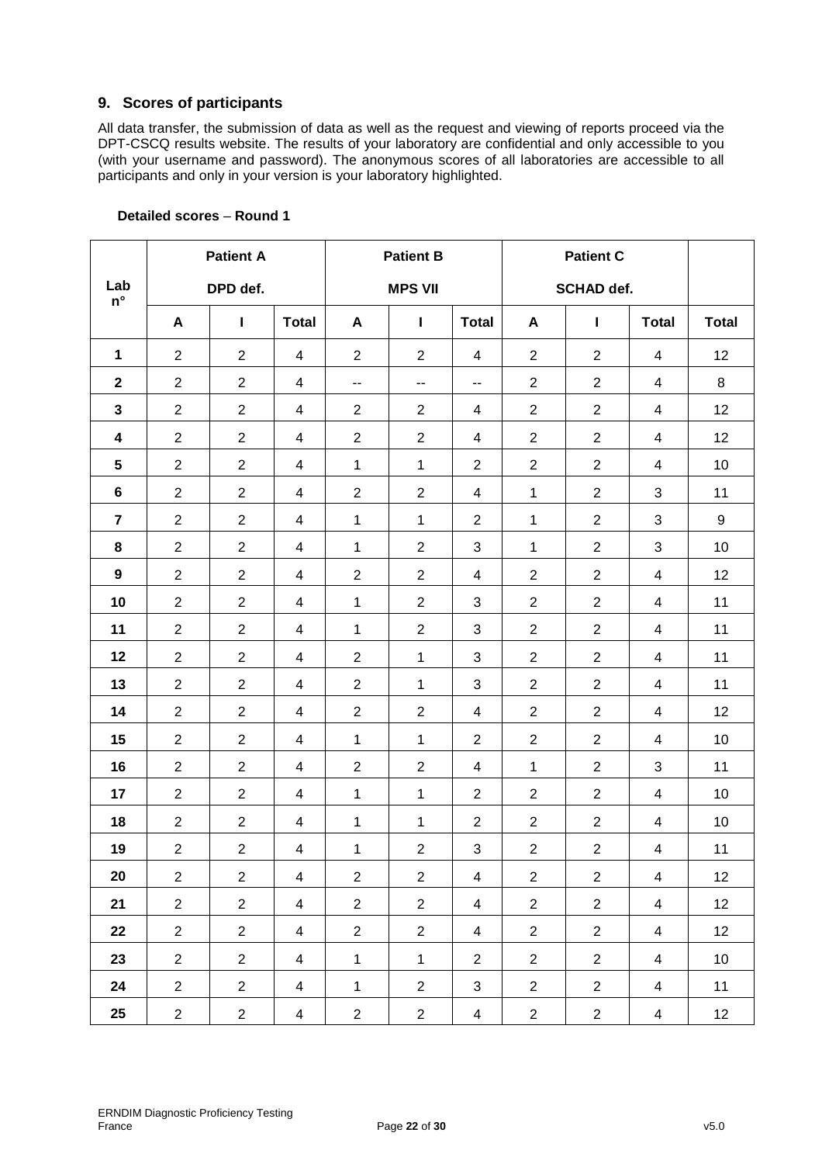# **9. Scores of participants**

All data transfer, the submission of data as well as the request and viewing of reports proceed via the DPT-CSCQ results website. The results of your laboratory are confidential and only accessible to you (with your username and password). The anonymous scores of all laboratories are accessible to all participants and only in your version is your laboratory highlighted.

|                    | <b>Patient A</b> |                |                         | <b>Patient B</b>         |                | <b>Patient C</b>         |                |                   |                |              |
|--------------------|------------------|----------------|-------------------------|--------------------------|----------------|--------------------------|----------------|-------------------|----------------|--------------|
| Lab<br>$n^{\circ}$ |                  | DPD def.       |                         |                          | <b>MPS VII</b> |                          |                | <b>SCHAD def.</b> |                |              |
|                    | A                | $\mathbf{I}$   | <b>Total</b>            | A                        | L              | <b>Total</b>             | A              | $\mathbf{I}$      | <b>Total</b>   | <b>Total</b> |
| $\mathbf 1$        | $\overline{2}$   | $\overline{2}$ | 4                       | $\overline{2}$           | $\overline{2}$ | 4                        | $\overline{2}$ | $\overline{2}$    | 4              | 12           |
| $\mathbf{2}$       | $\overline{2}$   | $\overline{2}$ | 4                       | $\overline{\phantom{a}}$ | --             | $\overline{\phantom{a}}$ | $\overline{2}$ | $\overline{2}$    | 4              | 8            |
| 3                  | $\overline{2}$   | $\overline{2}$ | $\overline{4}$          | $\overline{2}$           | $\overline{2}$ | 4                        | $\overline{2}$ | $\overline{2}$    | 4              | 12           |
| $\boldsymbol{4}$   | $\overline{2}$   | $\overline{2}$ | $\overline{4}$          | $\overline{2}$           | $\overline{2}$ | 4                        | $\overline{2}$ | $\overline{2}$    | $\overline{4}$ | 12           |
| 5                  | $\overline{2}$   | $\overline{2}$ | 4                       | 1                        | $\mathbf{1}$   | $\overline{2}$           | $\overline{2}$ | $\overline{2}$    | 4              | 10           |
| 6                  | $\overline{2}$   | $\overline{2}$ | 4                       | $\overline{2}$           | $\overline{2}$ | 4                        | $\mathbf{1}$   | $\overline{2}$    | 3              | 11           |
| $\overline{7}$     | $\overline{2}$   | $\overline{2}$ | $\overline{4}$          | 1                        | $\mathbf{1}$   | $\overline{2}$           | $\mathbf 1$    | $\overline{2}$    | 3              | 9            |
| 8                  | $\overline{2}$   | $\overline{2}$ | 4                       | 1                        | $\overline{c}$ | $\sqrt{3}$               | $\mathbf{1}$   | $\overline{2}$    | 3              | 10           |
| $\boldsymbol{9}$   | $\overline{2}$   | $\overline{2}$ | 4                       | $\overline{2}$           | $\overline{2}$ | 4                        | $\overline{2}$ | $\overline{2}$    | $\overline{4}$ | 12           |
| 10                 | $\overline{2}$   | $\overline{2}$ | $\overline{4}$          | 1                        | $\overline{2}$ | 3                        | $\overline{2}$ | $\overline{2}$    | 4              | 11           |
| 11                 | $\overline{2}$   | $\overline{2}$ | $\overline{\mathbf{4}}$ | 1                        | $\overline{2}$ | $\sqrt{3}$               | $\overline{c}$ | $\overline{2}$    | 4              | 11           |
| 12                 | $\overline{2}$   | $\overline{2}$ | 4                       | $\overline{2}$           | $\mathbf{1}$   | $\mathbf{3}$             | $\overline{2}$ | $\overline{2}$    | 4              | 11           |
| 13                 | $\overline{2}$   | $\overline{2}$ | $\overline{4}$          | $\overline{2}$           | $\mathbf{1}$   | 3                        | $\overline{2}$ | $\overline{2}$    | 4              | 11           |
| 14                 | $\overline{2}$   | $\overline{2}$ | 4                       | $\overline{2}$           | $\overline{2}$ | 4                        | $\overline{2}$ | $\overline{2}$    | $\overline{4}$ | 12           |
| 15                 | $\overline{c}$   | $\overline{2}$ | $\overline{4}$          | 1                        | $\mathbf{1}$   | $\overline{2}$           | $\overline{2}$ | $\overline{2}$    | 4              | 10           |
| 16                 | $\overline{2}$   | $\overline{2}$ | $\overline{4}$          | $\overline{2}$           | $\overline{2}$ | $\overline{4}$           | $\mathbf{1}$   | $\overline{2}$    | 3              | 11           |
| 17                 | $\overline{2}$   | $\overline{2}$ | 4                       | 1                        | $\mathbf{1}$   | $\overline{2}$           | $\overline{2}$ | $\overline{2}$    | $\overline{4}$ | 10           |
| 18                 | $\mathbf{2}$     | $\overline{2}$ | $\overline{4}$          | 1                        | $\mathbf{1}$   | $\overline{2}$           | $\mathbf{2}$   | $\overline{2}$    | $\overline{4}$ | 10           |
| 19                 | $\overline{2}$   | $\overline{2}$ | $\overline{4}$          | 1                        | $\overline{2}$ | $\sqrt{3}$               | $\overline{2}$ | $\overline{2}$    | 4              | 11           |
| 20                 | $\overline{2}$   | $\overline{2}$ | $\overline{4}$          | $\overline{2}$           | $\overline{2}$ | $\overline{4}$           | $\overline{2}$ | $\overline{2}$    | $\overline{4}$ | 12           |
| 21                 | $\overline{2}$   | $\mathbf{2}$   | $\overline{4}$          | $\overline{2}$           | $\overline{c}$ | $\overline{4}$           | $\overline{2}$ | $\overline{2}$    | $\overline{4}$ | 12           |
| 22                 | $\overline{2}$   | $\overline{2}$ | $\overline{4}$          | $\overline{2}$           | $\overline{2}$ | $\overline{4}$           | $\mathbf{2}$   | $\overline{2}$    | $\overline{4}$ | 12           |
| 23                 | $\overline{2}$   | $\overline{2}$ | $\overline{4}$          | $\mathbf{1}$             | $\mathbf{1}$   | $\overline{2}$           | $\overline{2}$ | $\overline{2}$    | $\overline{4}$ | 10           |
| 24                 | $\overline{2}$   | $\overline{2}$ | $\overline{4}$          | $\mathbf{1}$             | $\overline{2}$ | $\mathbf{3}$             | $\overline{2}$ | $\overline{2}$    | $\overline{4}$ | 11           |
| 25                 | $\overline{2}$   | $\overline{2}$ | $\overline{4}$          | $\overline{2}$           | $\overline{c}$ | $\overline{4}$           | $\overline{2}$ | $\overline{2}$    | $\overline{4}$ | 12           |

# **Detailed scores** – **Round 1**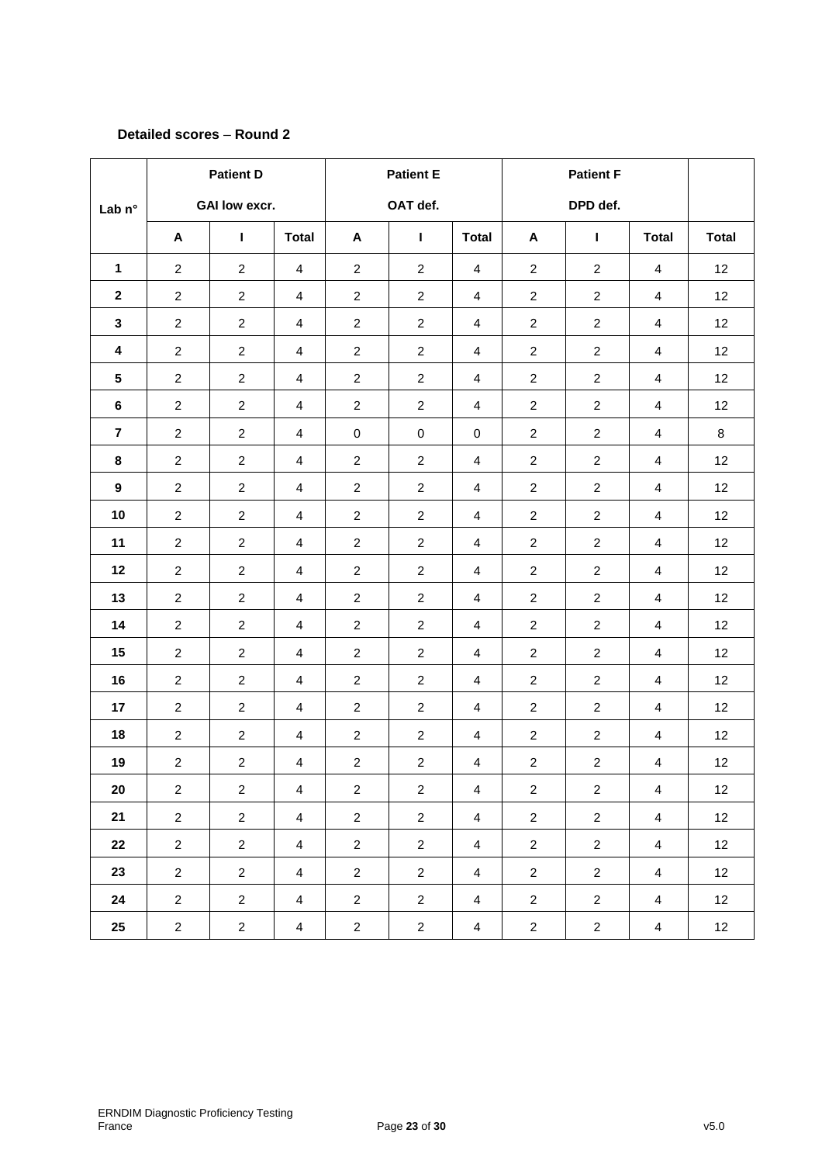### **Detailed scores** – **Round 2**

|                  | <b>Patient D</b>     |                | <b>Patient E</b>        |                  |                | <b>Patient F</b>        |                |                |                         |              |
|------------------|----------------------|----------------|-------------------------|------------------|----------------|-------------------------|----------------|----------------|-------------------------|--------------|
| Lab n°           | <b>GAI low excr.</b> |                |                         | OAT def.         |                |                         | DPD def.       |                |                         |              |
|                  | A                    | $\mathbf{I}$   | <b>Total</b>            | A                | $\mathbf{I}$   | <b>Total</b>            | A              | $\mathbf{I}$   | <b>Total</b>            | <b>Total</b> |
| $\mathbf{1}$     | $\overline{c}$       | $\overline{2}$ | $\overline{4}$          | $\overline{c}$   | $\overline{2}$ | 4                       | $\overline{c}$ | $\overline{2}$ | 4                       | 12           |
| $\mathbf{2}$     | $\overline{2}$       | $\overline{2}$ | 4                       | $\overline{c}$   | $\overline{a}$ | $\overline{\mathbf{4}}$ | $\overline{c}$ | $\overline{2}$ | $\overline{4}$          | 12           |
| 3                | $\overline{c}$       | $\overline{2}$ | $\overline{4}$          | $\overline{c}$   | $\overline{a}$ | $\overline{4}$          | $\overline{c}$ | $\overline{c}$ | 4                       | 12           |
| 4                | $\overline{c}$       | $\overline{2}$ | 4                       | $\boldsymbol{2}$ | $\overline{a}$ | 4                       | $\overline{c}$ | $\overline{2}$ | 4                       | 12           |
| $5\phantom{.0}$  | $\overline{c}$       | $\mathbf{2}$   | $\overline{\mathbf{4}}$ | $\overline{c}$   | $\overline{2}$ | $\overline{\mathbf{4}}$ | $\overline{c}$ | $\overline{2}$ | $\overline{4}$          | 12           |
| 6                | $\overline{c}$       | $\overline{2}$ | 4                       | $\overline{c}$   | $\overline{2}$ | 4                       | $\overline{c}$ | $\overline{2}$ | 4                       | 12           |
| $\overline{7}$   | $\overline{c}$       | $\overline{2}$ | $\overline{\mathbf{4}}$ | $\pmb{0}$        | $\mathsf 0$    | $\mathbf 0$             | $\overline{c}$ | $\overline{c}$ | 4                       | 8            |
| 8                | $\overline{c}$       | $\overline{2}$ | $\overline{4}$          | $\boldsymbol{2}$ | $\overline{a}$ | $\overline{\mathbf{4}}$ | $\overline{c}$ | $\overline{2}$ | $\overline{4}$          | 12           |
| $\boldsymbol{9}$ | $\overline{c}$       | $\overline{c}$ | $\overline{\mathbf{4}}$ | $\overline{c}$   | $\overline{2}$ | $\overline{4}$          | $\overline{c}$ | $\overline{2}$ | 4                       | 12           |
| 10               | $\overline{a}$       | $\overline{2}$ | $\overline{\mathbf{4}}$ | $\overline{c}$   | $\overline{a}$ | 4                       | $\overline{2}$ | $\overline{2}$ | 4                       | 12           |
| 11               | $\overline{c}$       | $\mathbf{2}$   | 4                       | $\overline{c}$   | $\overline{a}$ | 4                       | $\overline{c}$ | $\overline{c}$ | $\overline{\mathbf{4}}$ | 12           |
| 12               | $\overline{c}$       | $\overline{c}$ | $\overline{4}$          | $\boldsymbol{2}$ | $\overline{2}$ | 4                       | $\overline{2}$ | $\overline{2}$ | 4                       | 12           |
| 13               | $\overline{a}$       | $\overline{2}$ | $\overline{\mathbf{4}}$ | $\overline{c}$   | $\overline{2}$ | $\overline{4}$          | $\overline{2}$ | $\overline{2}$ | $\overline{\mathbf{4}}$ | 12           |
| 14               | $\overline{c}$       | $\overline{c}$ | $\overline{\mathbf{4}}$ | $\boldsymbol{2}$ | $\overline{c}$ | 4                       | $\overline{c}$ | $\overline{2}$ | 4                       | 12           |
| 15               | $\overline{c}$       | $\overline{c}$ | $\overline{\mathbf{4}}$ | $\overline{c}$   | $\overline{a}$ | $\overline{4}$          | $\overline{c}$ | $\overline{c}$ | 4                       | 12           |
| 16               | $\overline{c}$       | $\overline{c}$ | $\overline{\mathbf{4}}$ | $\overline{c}$   | $\overline{a}$ | 4                       | $\overline{c}$ | $\overline{c}$ | 4                       | 12           |
| 17               | $\overline{2}$       | $\overline{2}$ | $\overline{\mathbf{4}}$ | $\boldsymbol{2}$ | $\overline{a}$ | $\overline{4}$          | $\overline{2}$ | $\overline{2}$ | 4                       | 12           |
| 18               | $\overline{a}$       | $\overline{2}$ | $\overline{\mathbf{4}}$ | $\overline{c}$   | $\overline{2}$ | $\overline{4}$          | $\overline{c}$ | $\overline{2}$ | $\overline{4}$          | 12           |
| 19               | $\overline{c}$       | $\overline{2}$ | 4                       | $\boldsymbol{2}$ | $\overline{a}$ | 4                       | $\overline{c}$ | $\overline{c}$ | $\overline{\mathbf{4}}$ | 12           |
| 20               | $\overline{2}$       | $\overline{c}$ | $\overline{4}$          | $\overline{2}$   | $\overline{a}$ | $\overline{4}$          | $\overline{2}$ | $\overline{2}$ | $\overline{4}$          | 12           |
| 21               | $\overline{a}$       | $\overline{2}$ | $\overline{4}$          | $\overline{2}$   | $\overline{2}$ | $\overline{4}$          | $\overline{2}$ | $\overline{2}$ | $\overline{4}$          | 12           |
| 22               | $\overline{2}$       | $\overline{c}$ | $\overline{4}$          | $\overline{2}$   | $\overline{2}$ | $\overline{4}$          | $\overline{2}$ | $\overline{2}$ | $\overline{4}$          | 12           |
| 23               | $\overline{2}$       | $\overline{2}$ | $\overline{4}$          | $\overline{a}$   | $\overline{2}$ | $\overline{4}$          | $\overline{2}$ | $\overline{2}$ | $\overline{4}$          | 12           |
| 24               | $\overline{a}$       | $\overline{2}$ | $\overline{4}$          | $\overline{a}$   | $\overline{2}$ | $\overline{4}$          | $\overline{2}$ | $\overline{a}$ | $\overline{4}$          | 12           |
| 25               | $\overline{a}$       | $\overline{c}$ | $\overline{\mathbf{4}}$ | $\sqrt{2}$       | $\overline{c}$ | $\overline{\mathbf{4}}$ | $\overline{c}$ | $\overline{2}$ | $\overline{4}$          | 12           |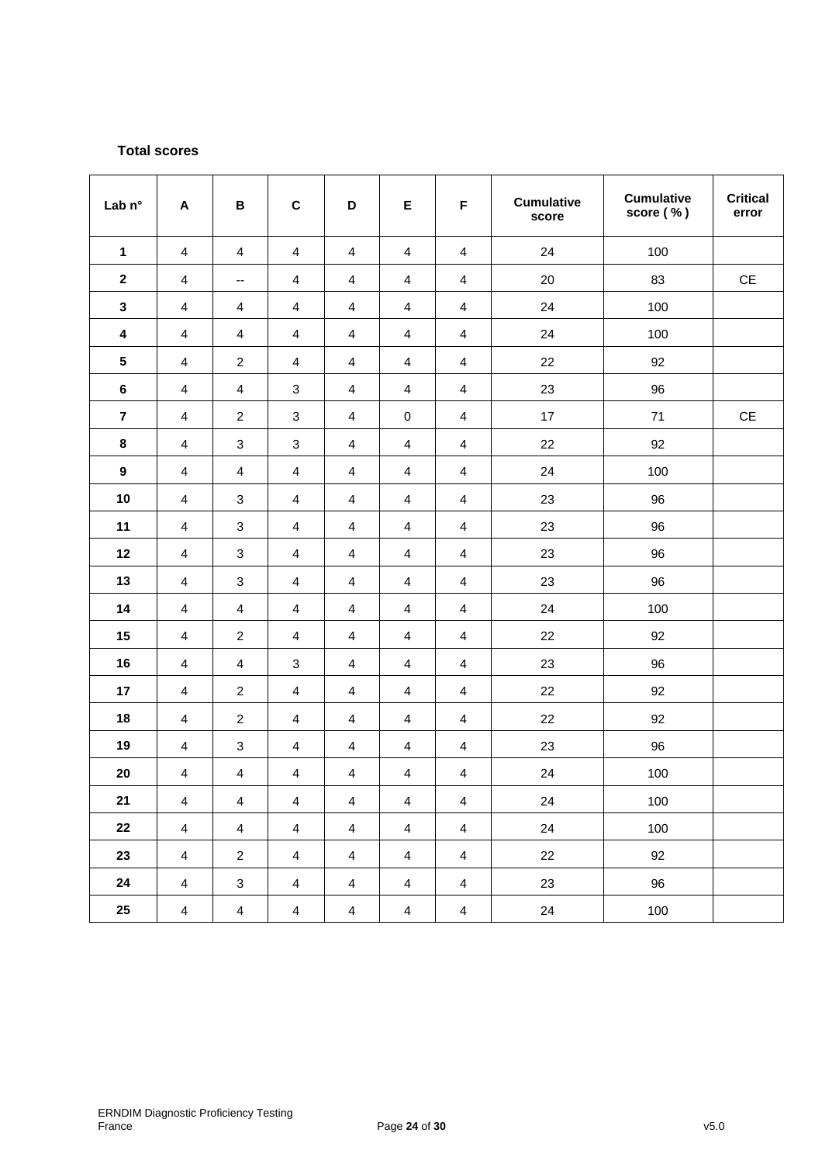# **Total scores**

| Lab n°                  | A                       | B                         | $\mathbf C$               | D                       | E                       | F                       | <b>Cumulative</b><br>score | <b>Cumulative</b><br>score (%) | <b>Critical</b><br>error |
|-------------------------|-------------------------|---------------------------|---------------------------|-------------------------|-------------------------|-------------------------|----------------------------|--------------------------------|--------------------------|
| $\mathbf{1}$            | 4                       | $\overline{4}$            | $\overline{\mathbf{4}}$   | $\overline{\mathbf{4}}$ | $\overline{\mathbf{4}}$ | $\overline{\mathbf{4}}$ | 24                         | 100                            |                          |
| $\boldsymbol{2}$        | 4                       | --                        | $\overline{\mathbf{4}}$   | $\overline{\mathbf{4}}$ | $\overline{\mathbf{4}}$ | $\overline{\mathbf{4}}$ | 20                         | 83                             | $\mathsf{CE}$            |
| $\mathbf{3}$            | 4                       | 4                         | $\overline{\mathbf{4}}$   | $\overline{\mathbf{4}}$ | $\overline{\mathbf{4}}$ | $\overline{\mathbf{4}}$ | 24                         | 100                            |                          |
| $\overline{\mathbf{4}}$ | $\overline{\mathbf{4}}$ | $\overline{\mathbf{4}}$   | $\overline{\mathbf{4}}$   | $\overline{\mathbf{4}}$ | $\overline{\mathbf{4}}$ | $\overline{\mathbf{4}}$ | 24                         | 100                            |                          |
| ${\bf 5}$               | 4                       | $\overline{\mathbf{c}}$   | 4                         | 4                       | $\overline{\mathbf{4}}$ | $\overline{\mathbf{4}}$ | 22                         | 92                             |                          |
| $\bf 6$                 | 4                       | 4                         | 3                         | $\overline{\mathbf{4}}$ | $\overline{\mathbf{4}}$ | $\overline{\mathbf{4}}$ | 23                         | 96                             |                          |
| $\overline{7}$          | $\overline{\mathbf{4}}$ | $\overline{c}$            | $\ensuremath{\mathsf{3}}$ | $\overline{\mathbf{4}}$ | $\,0\,$                 | $\overline{\mathbf{4}}$ | 17                         | 71                             | $\mathsf{CE}$            |
| $\pmb{8}$               | 4                       | $\ensuremath{\mathsf{3}}$ | $\ensuremath{\mathsf{3}}$ | $\overline{\mathbf{4}}$ | $\overline{\mathbf{4}}$ | $\overline{\mathbf{4}}$ | 22                         | 92                             |                          |
| $\boldsymbol{9}$        | 4                       | 4                         | $\overline{\mathbf{4}}$   | $\overline{\mathbf{4}}$ | $\overline{4}$          | $\overline{\mathbf{4}}$ | 24                         | 100                            |                          |
| 10                      | 4                       | $\mathbf{3}$              | $\overline{\mathbf{4}}$   | $\overline{4}$          | $\overline{\mathbf{4}}$ | $\overline{\mathbf{4}}$ | 23                         | 96                             |                          |
| 11                      | 4                       | $\ensuremath{\mathsf{3}}$ | $\overline{\mathbf{4}}$   | $\overline{\mathbf{4}}$ | $\overline{\mathbf{4}}$ | $\overline{\mathbf{4}}$ | 23                         | 96                             |                          |
| 12                      | 4                       | 3                         | $\overline{4}$            | 4                       | $\overline{4}$          | $\overline{4}$          | 23                         | 96                             |                          |
| 13                      | 4                       | 3                         | 4                         | 4                       | $\overline{\mathbf{4}}$ | $\overline{\mathbf{4}}$ | 23                         | 96                             |                          |
| 14                      | $\overline{\mathbf{4}}$ | $\overline{\mathbf{4}}$   | $\overline{\mathbf{4}}$   | $\overline{\mathbf{4}}$ | $\overline{\mathbf{4}}$ | $\overline{\mathbf{4}}$ | 24                         | 100                            |                          |
| 15                      | 4                       | $\boldsymbol{2}$          | $\overline{\mathbf{4}}$   | $\overline{\mathbf{4}}$ | $\overline{\mathbf{4}}$ | $\overline{\mathbf{4}}$ | 22                         | 92                             |                          |
| 16                      | 4                       | 4                         | 3                         | $\overline{\mathbf{4}}$ | $\overline{\mathbf{4}}$ | $\overline{\mathbf{4}}$ | 23                         | 96                             |                          |
| 17                      | 4                       | $\overline{c}$            | $\overline{4}$            | $\overline{\mathbf{4}}$ | $\overline{\mathbf{4}}$ | $\overline{\mathbf{4}}$ | 22                         | 92                             |                          |
| 18                      | 4                       | $\overline{\mathbf{c}}$   | $\overline{\mathbf{4}}$   | $\overline{\mathbf{4}}$ | $\overline{\mathbf{4}}$ | $\overline{4}$          | 22                         | 92                             |                          |
| 19                      | 4                       | 3                         | $\overline{\mathbf{4}}$   | $\overline{\mathbf{4}}$ | $\overline{\mathbf{4}}$ | $\overline{\mathbf{4}}$ | 23                         | 96                             |                          |
| 20                      | 4                       | 4                         | $\overline{\mathbf{4}}$   | $\overline{\mathbf{4}}$ | $\overline{\mathbf{4}}$ | $\overline{\mathbf{4}}$ | 24                         | 100                            |                          |
| 21                      | $\overline{\mathbf{4}}$ | $\overline{4}$            | $\overline{4}$            | $\overline{4}$          | $\overline{4}$          | $\overline{4}$          | 24                         | 100                            |                          |
| 22                      | $\overline{4}$          | $\overline{\mathbf{4}}$   | $\overline{4}$            | $\overline{4}$          | $\overline{4}$          | $\overline{4}$          | 24                         | 100                            |                          |
| 23                      | $\overline{4}$          | $\overline{c}$            | $\overline{4}$            | $\overline{4}$          | $\overline{4}$          | $\overline{4}$          | 22                         | 92                             |                          |
| 24                      | $\overline{\mathbf{4}}$ | $\ensuremath{\mathsf{3}}$ | $\overline{4}$            | $\overline{4}$          | $\overline{4}$          | $\overline{4}$          | 23                         | 96                             |                          |
| $25\,$                  | $\overline{4}$          | $\overline{4}$            | $\overline{4}$            | $\overline{4}$          | $\overline{4}$          | $\overline{4}$          | 24                         | 100                            |                          |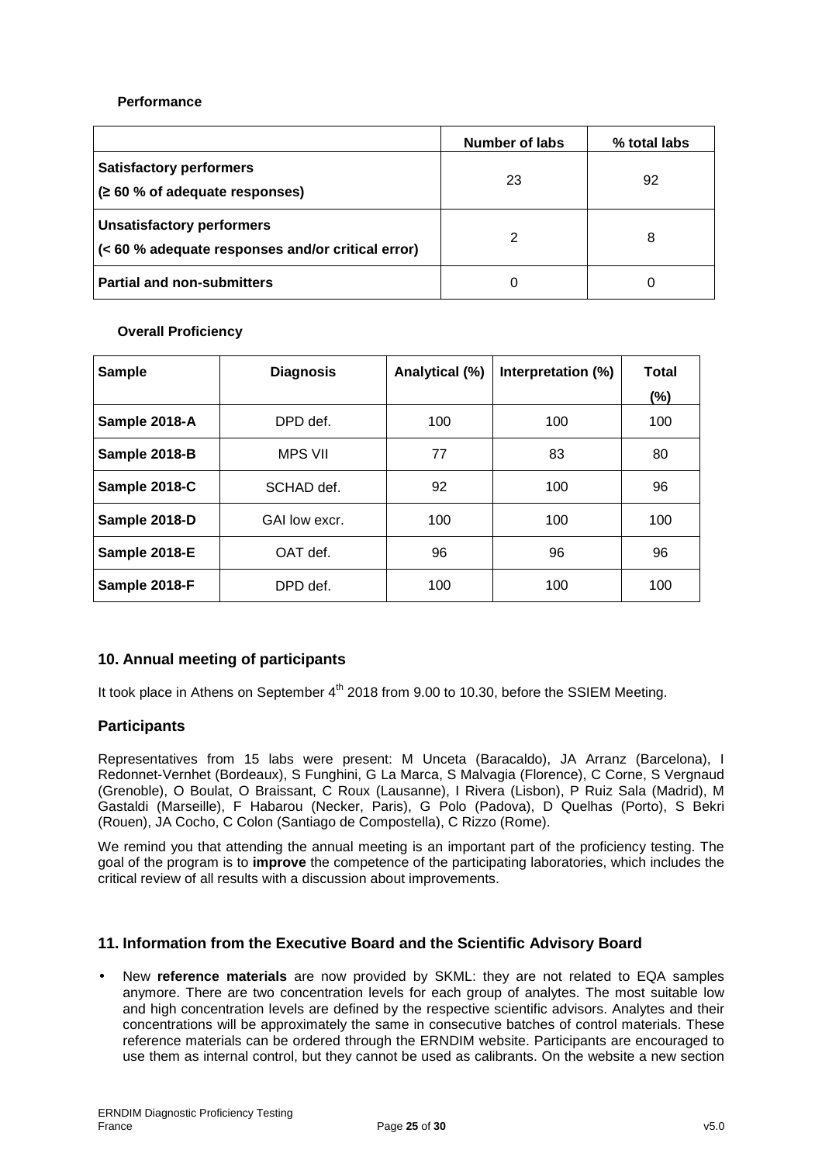### **Performance**

|                                                                                           | Number of labs | % total labs |
|-------------------------------------------------------------------------------------------|----------------|--------------|
| <b>Satisfactory performers</b><br>$\approx 60$ % of adequate responses)                   | 23             | 92           |
| <b>Unsatisfactory performers</b><br>$ $ (< 60 % adequate responses and/or critical error) |                | 8            |
| <b>Partial and non-submitters</b>                                                         | 0              |              |

### **Overall Proficiency**

| <b>Sample</b> | <b>Diagnosis</b> | Analytical (%) | Interpretation (%) | <b>Total</b><br>(%) |
|---------------|------------------|----------------|--------------------|---------------------|
| Sample 2018-A | DPD def.         | 100            | 100                | 100                 |
| Sample 2018-B | <b>MPS VII</b>   | 77             | 83                 | 80                  |
| Sample 2018-C | SCHAD def.       | 92             | 100                | 96                  |
| Sample 2018-D | GAI low excr.    | 100            | 100                | 100                 |
| Sample 2018-E | OAT def.         | 96             | 96                 | 96                  |
| Sample 2018-F | DPD def.         | 100            | 100                | 100                 |

# **10. Annual meeting of participants**

It took place in Athens on September  $4<sup>th</sup>$  2018 from 9.00 to 10.30, before the SSIEM Meeting.

# **Participants**

Representatives from 15 labs were present: M Unceta (Baracaldo), JA Arranz (Barcelona), I Redonnet-Vernhet (Bordeaux), S Funghini, G La Marca, S Malvagia (Florence), C Corne, S Vergnaud (Grenoble), O Boulat, O Braissant, C Roux (Lausanne), I Rivera (Lisbon), P Ruiz Sala (Madrid), M Gastaldi (Marseille), F Habarou (Necker, Paris), G Polo (Padova), D Quelhas (Porto), S Bekri (Rouen), JA Cocho, C Colon (Santiago de Compostella), C Rizzo (Rome).

We remind you that attending the annual meeting is an important part of the proficiency testing. The goal of the program is to **improve** the competence of the participating laboratories, which includes the critical review of all results with a discussion about improvements.

# **11. Information from the Executive Board and the Scientific Advisory Board**

• New **reference materials** are now provided by SKML: they are not related to EQA samples anymore. There are two concentration levels for each group of analytes. The most suitable low and high concentration levels are defined by the respective scientific advisors. Analytes and their concentrations will be approximately the same in consecutive batches of control materials. These reference materials can be ordered through the ERNDIM website. Participants are encouraged to use them as internal control, but they cannot be used as calibrants. On the website a new section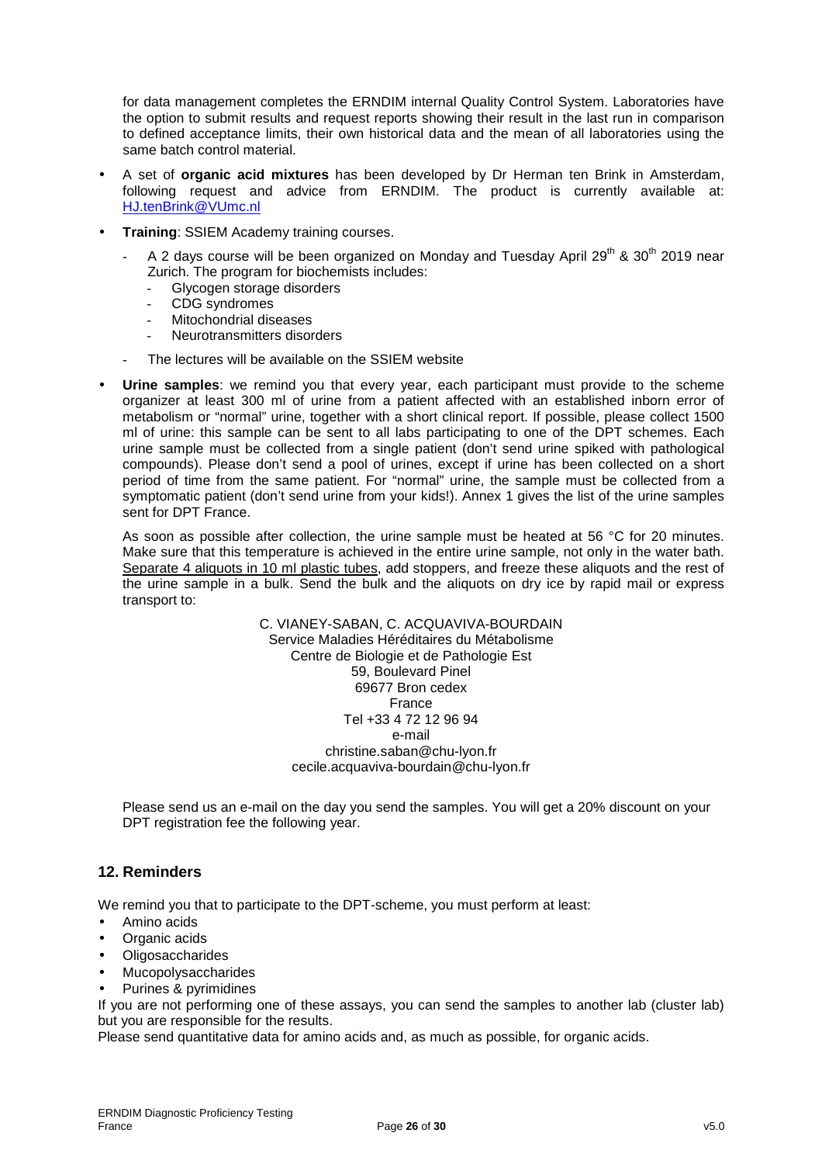for data management completes the ERNDIM internal Quality Control System. Laboratories have the option to submit results and request reports showing their result in the last run in comparison to defined acceptance limits, their own historical data and the mean of all laboratories using the same batch control material.

- A set of **organic acid mixtures** has been developed by Dr Herman ten Brink in Amsterdam, following request and advice from ERNDIM. The product is currently available at: HJ.tenBrink@VUmc.nl
- **Training**: SSIEM Academy training courses.
	- A 2 days course will be been organized on Monday and Tuesday April 29<sup>th</sup> & 30<sup>th</sup> 2019 near Zurich. The program for biochemists includes:
		- Glycogen storage disorders
		- CDG syndromes
		- Mitochondrial diseases
		- Neurotransmitters disorders
	- The lectures will be available on the SSIEM website
- Urine samples: we remind you that every year, each participant must provide to the scheme organizer at least 300 ml of urine from a patient affected with an established inborn error of metabolism or "normal" urine, together with a short clinical report. If possible, please collect 1500 ml of urine: this sample can be sent to all labs participating to one of the DPT schemes. Each urine sample must be collected from a single patient (don't send urine spiked with pathological compounds). Please don't send a pool of urines, except if urine has been collected on a short period of time from the same patient. For "normal" urine, the sample must be collected from a symptomatic patient (don't send urine from your kids!). Annex 1 gives the list of the urine samples sent for DPT France.

As soon as possible after collection, the urine sample must be heated at 56 °C for 20 minutes. Make sure that this temperature is achieved in the entire urine sample, not only in the water bath. Separate 4 aliquots in 10 ml plastic tubes, add stoppers, and freeze these aliquots and the rest of the urine sample in a bulk. Send the bulk and the aliquots on dry ice by rapid mail or express transport to:

> C. VIANEY-SABAN, C. ACQUAVIVA-BOURDAIN Service Maladies Héréditaires du Métabolisme Centre de Biologie et de Pathologie Est 59, Boulevard Pinel 69677 Bron cedex France Tel +33 4 72 12 96 94 e-mail christine.saban@chu-lyon.fr cecile.acquaviva-bourdain@chu-lyon.fr

Please send us an e-mail on the day you send the samples. You will get a 20% discount on your DPT registration fee the following year.

# **12. Reminders**

We remind you that to participate to the DPT-scheme, you must perform at least:

- Amino acids
- Organic acids
- **Oligosaccharides**
- Mucopolysaccharides
- Purines & pyrimidines

If you are not performing one of these assays, you can send the samples to another lab (cluster lab) but you are responsible for the results.

Please send quantitative data for amino acids and, as much as possible, for organic acids.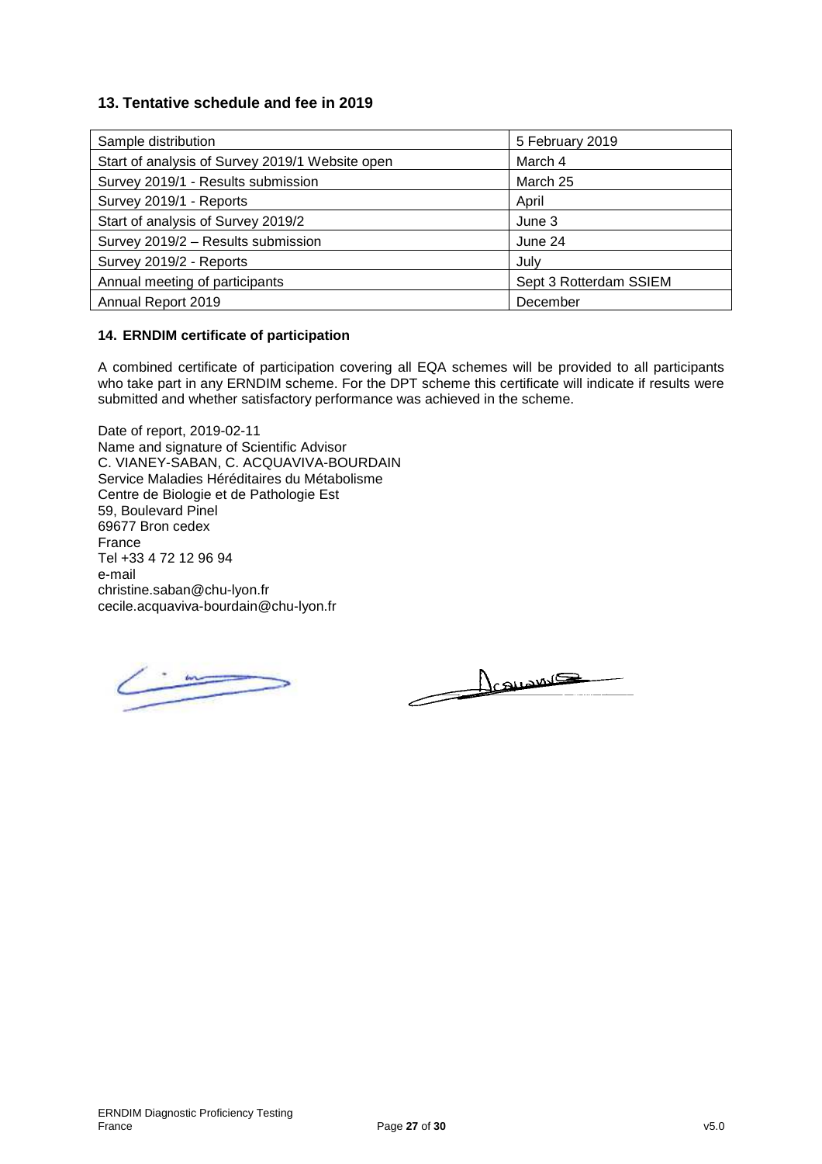# **13. Tentative schedule and fee in 2019**

| Sample distribution                             | 5 February 2019        |
|-------------------------------------------------|------------------------|
| Start of analysis of Survey 2019/1 Website open | March 4                |
| Survey 2019/1 - Results submission              | March 25               |
| Survey 2019/1 - Reports                         | April                  |
| Start of analysis of Survey 2019/2              | June 3                 |
| Survey 2019/2 - Results submission              | June 24                |
| Survey 2019/2 - Reports                         | July                   |
| Annual meeting of participants                  | Sept 3 Rotterdam SSIEM |
| Annual Report 2019                              | December               |

### **14. ERNDIM certificate of participation**

A combined certificate of participation covering all EQA schemes will be provided to all participants who take part in any ERNDIM scheme. For the DPT scheme this certificate will indicate if results were submitted and whether satisfactory performance was achieved in the scheme.

Date of report, 2019-02-11 Name and signature of Scientific Advisor C. VIANEY-SABAN, C. ACQUAVIVA-BOURDAIN Service Maladies Héréditaires du Métabolisme Centre de Biologie et de Pathologie Est 59, Boulevard Pinel 69677 Bron cedex France Tel +33 4 72 12 96 94 e-mail christine.saban@chu-lyon.fr cecile.acquaviva-bourdain@chu-lyon.fr

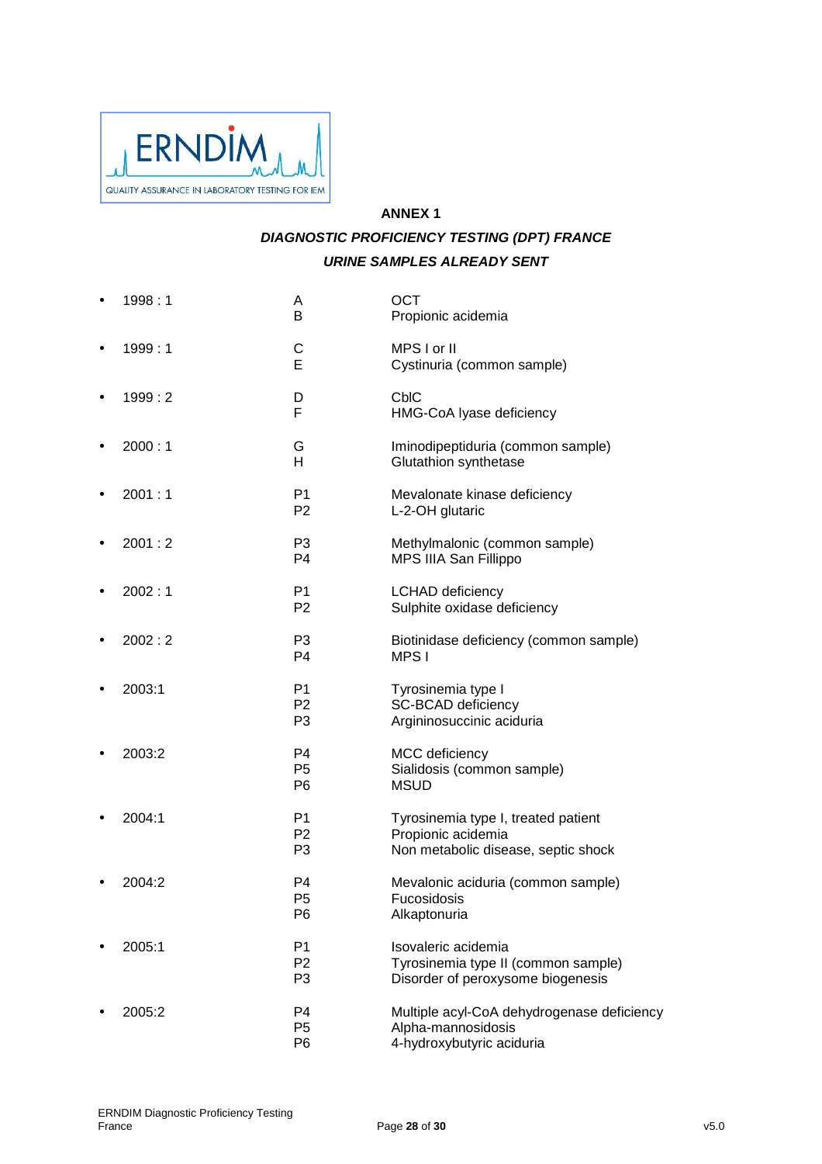

# **ANNEX 1 DIAGNOSTIC PROFICIENCY TESTING (DPT) FRANCE URINE SAMPLES ALREADY SENT**

| 1998:1 | A<br>B                                             | <b>OCT</b><br>Propionic acidemia                                                                 |
|--------|----------------------------------------------------|--------------------------------------------------------------------------------------------------|
| 1999:1 | C<br>E                                             | MPS I or II<br>Cystinuria (common sample)                                                        |
| 1999:2 | D<br>F                                             | <b>CbIC</b><br>HMG-CoA Iyase deficiency                                                          |
| 2000:1 | G<br>Н                                             | Iminodipeptiduria (common sample)<br>Glutathion synthetase                                       |
| 2001:1 | P <sub>1</sub><br>P <sub>2</sub>                   | Mevalonate kinase deficiency<br>L-2-OH glutaric                                                  |
| 2001:2 | P <sub>3</sub><br>P <sub>4</sub>                   | Methylmalonic (common sample)<br>MPS IIIA San Fillippo                                           |
| 2002:1 | P <sub>1</sub><br>P <sub>2</sub>                   | <b>LCHAD</b> deficiency<br>Sulphite oxidase deficiency                                           |
| 2002:2 | P <sub>3</sub><br>P <sub>4</sub>                   | Biotinidase deficiency (common sample)<br>MPS I                                                  |
| 2003:1 | P <sub>1</sub><br>P <sub>2</sub><br>P <sub>3</sub> | Tyrosinemia type I<br>SC-BCAD deficiency<br>Argininosuccinic aciduria                            |
| 2003:2 | P <sub>4</sub><br>P <sub>5</sub><br>P <sub>6</sub> | MCC deficiency<br>Sialidosis (common sample)<br><b>MSUD</b>                                      |
| 2004:1 | P <sub>1</sub><br>P <sub>2</sub><br>P <sub>3</sub> | Tyrosinemia type I, treated patient<br>Propionic acidemia<br>Non metabolic disease, septic shock |
| 2004:2 | P4<br>P <sub>5</sub><br>P <sub>6</sub>             | Mevalonic aciduria (common sample)<br>Fucosidosis<br>Alkaptonuria                                |
| 2005:1 | P <sub>1</sub><br>P <sub>2</sub><br>P <sub>3</sub> | Isovaleric acidemia<br>Tyrosinemia type II (common sample)<br>Disorder of peroxysome biogenesis  |
| 2005:2 | P4<br>P <sub>5</sub><br>P <sub>6</sub>             | Multiple acyl-CoA dehydrogenase deficiency<br>Alpha-mannosidosis<br>4-hydroxybutyric aciduria    |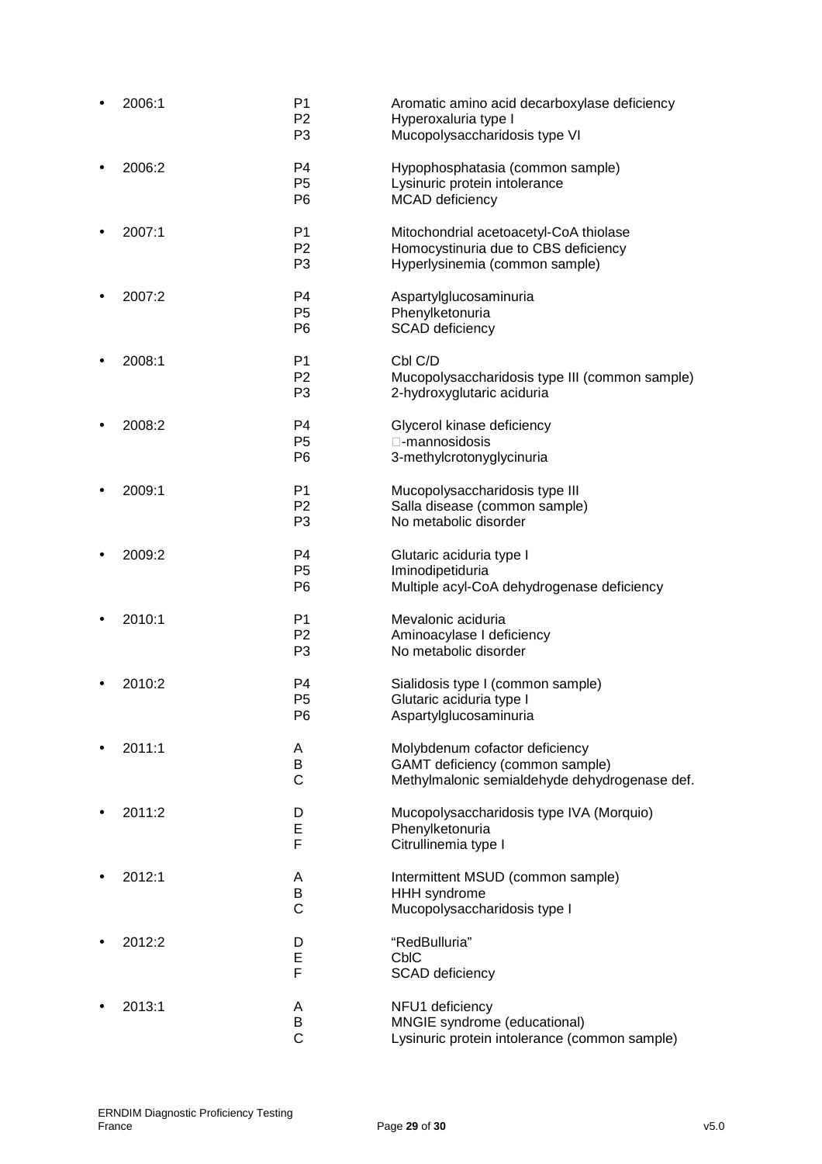| 2006:1 | P1<br>P <sub>2</sub><br>P <sub>3</sub>             | Aromatic amino acid decarboxylase deficiency<br>Hyperoxaluria type I<br>Mucopolysaccharidosis type VI              |
|--------|----------------------------------------------------|--------------------------------------------------------------------------------------------------------------------|
| 2006:2 | P <sub>4</sub><br>P <sub>5</sub><br>P <sub>6</sub> | Hypophosphatasia (common sample)<br>Lysinuric protein intolerance<br>MCAD deficiency                               |
| 2007:1 | P <sub>1</sub><br>P <sub>2</sub><br>P3             | Mitochondrial acetoacetyl-CoA thiolase<br>Homocystinuria due to CBS deficiency<br>Hyperlysinemia (common sample)   |
| 2007:2 | P4<br>P <sub>5</sub><br>P <sub>6</sub>             | Aspartylglucosaminuria<br>Phenylketonuria<br><b>SCAD</b> deficiency                                                |
| 2008:1 | P <sub>1</sub><br>P <sub>2</sub><br>P <sub>3</sub> | Cbl C/D<br>Mucopolysaccharidosis type III (common sample)<br>2-hydroxyglutaric aciduria                            |
| 2008:2 | P4<br>P <sub>5</sub><br>P <sub>6</sub>             | Glycerol kinase deficiency<br>-mannosidosis<br>3-methylcrotonyglycinuria                                           |
| 2009:1 | P <sub>1</sub><br>P <sub>2</sub><br>P <sub>3</sub> | Mucopolysaccharidosis type III<br>Salla disease (common sample)<br>No metabolic disorder                           |
| 2009:2 | P <sub>4</sub><br>P <sub>5</sub><br>P <sub>6</sub> | Glutaric aciduria type I<br>Iminodipetiduria<br>Multiple acyl-CoA dehydrogenase deficiency                         |
| 2010:1 | P <sub>1</sub><br>P <sub>2</sub><br>P <sub>3</sub> | Mevalonic aciduria<br>Aminoacylase I deficiency<br>No metabolic disorder                                           |
| 2010:2 | P <sub>4</sub><br>P <sub>5</sub><br>P6             | Sialidosis type I (common sample)<br>Glutaric aciduria type I<br>Aspartylglucosaminuria                            |
| 2011:1 | A<br>В<br>$\mathsf C$                              | Molybdenum cofactor deficiency<br>GAMT deficiency (common sample)<br>Methylmalonic semialdehyde dehydrogenase def. |
| 2011:2 | D<br>E<br>F                                        | Mucopolysaccharidosis type IVA (Morquio)<br>Phenylketonuria<br>Citrullinemia type I                                |
| 2012:1 | A<br>B<br>C                                        | Intermittent MSUD (common sample)<br><b>HHH</b> syndrome<br>Mucopolysaccharidosis type I                           |
| 2012:2 | D<br>E<br>F                                        | "RedBulluria"<br><b>CbIC</b><br><b>SCAD</b> deficiency                                                             |
| 2013:1 | Α<br>B<br>$\mathsf{C}$                             | NFU1 deficiency<br>MNGIE syndrome (educational)<br>Lysinuric protein intolerance (common sample)                   |